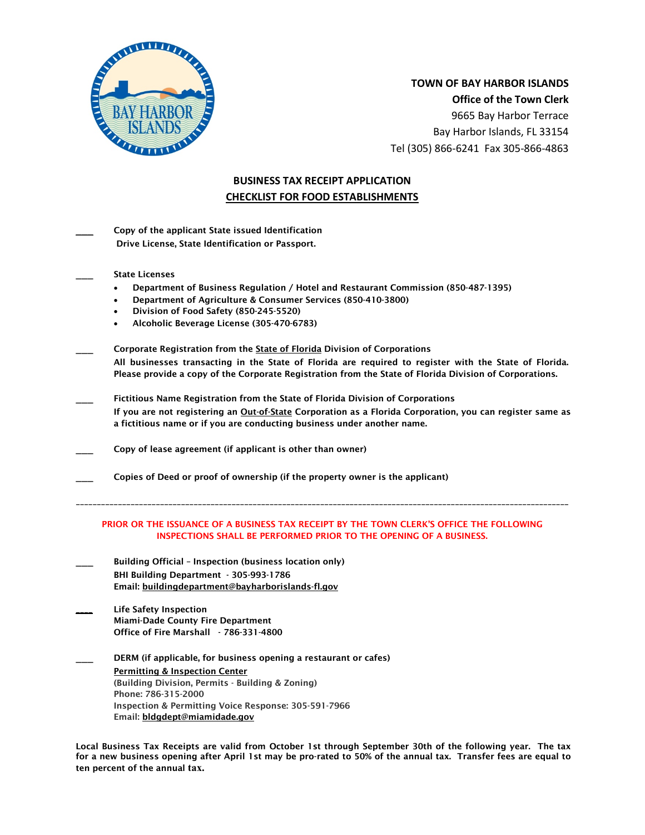

 **TOWN OF BAY HARBOR ISLANDS Office of the Town Clerk** 9665 Bay Harbor Terrace Bay Harbor Islands, FL 33154 Tel (305) 866-6241 Fax 305-866-4863

# **BUSINESS TAX RECEIPT APPLICATION CHECKLIST FOR FOOD ESTABLISHMENTS**

| Copy of the applicant State issued Identification |
|---------------------------------------------------|
| Drive License, State Identification or Passport.  |

State Licenses

- Department of Business Regulation / Hotel and Restaurant Commission (850-487-1395)
- Department of Agriculture & Consumer Services (850-410-3800)
- Division of Food Safety (850-245-5520)
- Alcoholic Beverage License (305-470-6783)
- Corporate Registration from the State of Florida Division of Corporations All businesses transacting in the State of Florida are required to register with the State of Florida. Please provide a copy of the Corporate Registration from the State of Florida Division of Corporations.
- Fictitious Name Registration from the State of Florida Division of Corporations If you are not registering an Out-of-State Corporation as a Florida Corporation, you can register same as a fictitious name or if you are conducting business under another name.
- Copy of lease agreement (if applicant is other than owner)
- Copies of Deed or proof of ownership (if the property owner is the applicant)

#### PRIOR OR THE ISSUANCE OF A BUSINESS TAX RECEIPT BY THE TOWN CLERK'S OFFICE THE FOLLOWING INSPECTIONS SHALL BE PERFORMED PRIOR TO THE OPENING OF A BUSINESS.

\_\_\_\_\_\_\_\_\_\_\_\_\_\_\_\_\_\_\_\_\_\_\_\_\_\_\_\_\_\_\_\_\_\_\_\_\_\_\_\_\_\_\_\_\_\_\_\_\_\_\_\_\_\_\_\_\_\_\_\_\_\_\_\_\_\_\_\_\_\_\_\_\_\_\_\_\_\_\_\_\_\_\_\_\_\_\_\_\_\_\_\_\_\_\_\_\_\_\_\_\_\_\_\_\_\_\_\_\_\_\_\_\_\_\_\_\_

- Building Official Inspection (business location only) BHI Building Department - 305-993-1786 Email: [buildingdepartment@bayharborislands-fl.gov](mailto:buildingdepartment@bayharborislands-fl.gov)
- Life Safety Inspection Miami-Dade County Fire Department Office of Fire Marshall - 786-331-4800
- DERM (if applicable, for business opening a restaurant or cafes) [Permitting & Inspection Center](http://www.miamidade.gov/permits/) (Building Division, Permits - Building & Zoning) Phone: 786-315-2000 Inspection & Permitting Voice Response: 305-591-7966 Email: [bldgdept@miamidade.gov](mailto:bldgdept@miamidade.gov)

Local Business Tax Receipts are valid from October 1st through September 30th of the following year. The tax for a new business opening after April 1st may be pro-rated to 50% of the annual tax. Transfer fees are equal to ten percent of the annual **tax.**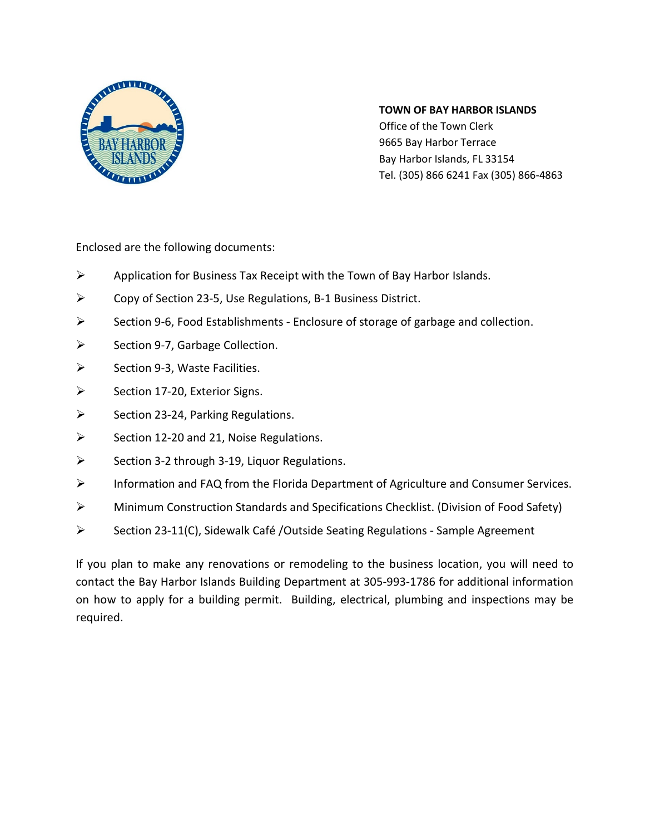

# **TOWN OF BAY HARBOR ISLANDS**

Office of the Town Clerk 9665 Bay Harbor Terrace Bay Harbor Islands, FL 33154 Tel. (305) 866 6241 Fax (305) 866-4863

Enclosed are the following documents:

- $\triangleright$  Application for Business Tax Receipt with the Town of Bay Harbor Islands.
- Copy of Section 23-5, Use Regulations, B-1 Business District.
- $\triangleright$  Section 9-6, Food Establishments Enclosure of storage of garbage and collection.
- $\triangleright$  Section 9-7, Garbage Collection.
- $\triangleright$  Section 9-3, Waste Facilities.
- $\triangleright$  Section 17-20, Exterior Signs.
- $\triangleright$  Section 23-24, Parking Regulations.
- $\triangleright$  Section 12-20 and 21, Noise Regulations.
- $\triangleright$  Section 3-2 through 3-19, Liquor Regulations.
- Information and FAQ from the Florida Department of Agriculture and Consumer Services.
- Minimum Construction Standards and Specifications Checklist. (Division of Food Safety)
- $\triangleright$  Section 23-11(C), Sidewalk Café /Outside Seating Regulations Sample Agreement

If you plan to make any renovations or remodeling to the business location, you will need to contact the Bay Harbor Islands Building Department at 305-993-1786 for additional information on how to apply for a building permit. Building, electrical, plumbing and inspections may be required.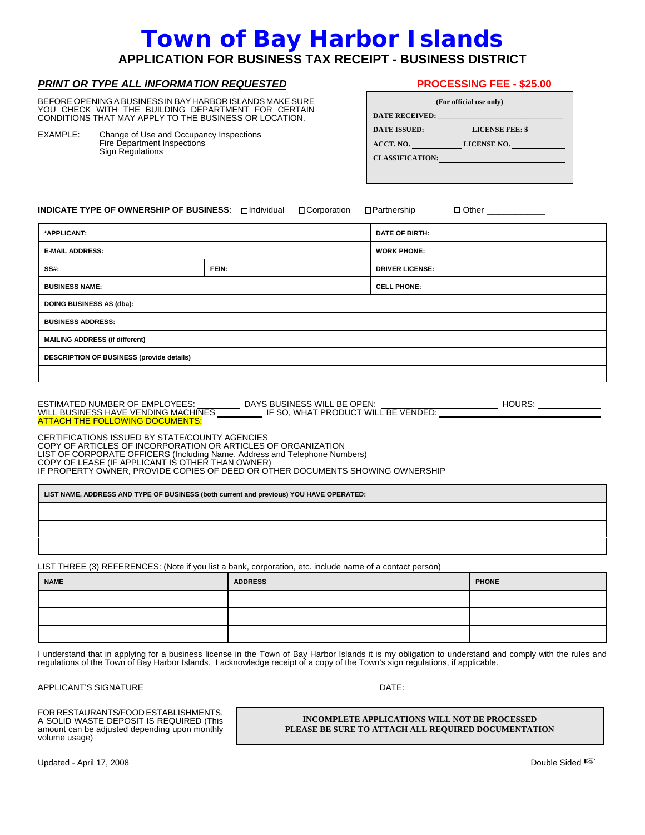# **Town of Bay Harbor Islands**

# **APPLICATION FOR BUSINESS TAX RECEIPT - BUSINESS DISTRICT**

#### *PRINT OR TYPE ALL INFORMATION REQUESTED*

BEFORE OPENING A BUSINESS IN BAY HARBOR ISLANDS MAKE SURE YOU CHECK WITH THE BUILDING DEPARTMENT FOR CERTAIN CONDITIONS THAT MAY APPLY TO THE BUSINESS OR LOCATION.

EXAMPLE: Change of Use and Occupancy Inspections Fire Department Inspections Sign Regulations

| <b>PROCESSING FEE - \$25.00</b> |  |
|---------------------------------|--|
|---------------------------------|--|

| (For official use only)                      |                 |  |  |  |
|----------------------------------------------|-----------------|--|--|--|
| DATE RECEIVED: THE RECEIVED OF THE RECEIVED. |                 |  |  |  |
| DATE ISSUED:                                 | LICENSE FEE: \$ |  |  |  |
| ACCT. NO.                                    | LICENSE NO.     |  |  |  |
| <b>CLASSIFICATION:</b>                       |                 |  |  |  |
|                                              |                 |  |  |  |

**INDICATE TYPE OF OWNERSHIP OF BUSINESS**: 9 Individual 9 Corporation 9 Partnership 9 Other \_\_\_\_\_\_\_\_\_\_

| *APPLICANT:                               |       | <b>DATE OF BIRTH:</b>  |  |  |
|-------------------------------------------|-------|------------------------|--|--|
| <b>E-MAIL ADDRESS:</b>                    |       | <b>WORK PHONE:</b>     |  |  |
| $SS#$ :                                   | FEIN: | <b>DRIVER LICENSE:</b> |  |  |
| <b>BUSINESS NAME:</b>                     |       | <b>CELL PHONE:</b>     |  |  |
| <b>DOING BUSINESS AS (dba):</b>           |       |                        |  |  |
| <b>BUSINESS ADDRESS:</b>                  |       |                        |  |  |
| <b>MAILING ADDRESS (if different)</b>     |       |                        |  |  |
| DESCRIPTION OF BUSINESS (provide details) |       |                        |  |  |
|                                           |       |                        |  |  |

ESTIMATED NUMBER OF EMPLOYEES: \_\_\_\_\_\_\_\_\_\_\_ DAYS BUSINESS WILL BE OPEN: \_\_\_\_\_\_\_\_\_\_\_\_\_\_\_\_\_\_\_\_\_\_\_\_\_\_\_\_ HOURS: WILL BUSINESS HAVE VENDING MACHINES **IF** SO, WHAT PRODUCT WILL BE VENDED: ATTACH THE FOLLOWING DOCUMENTS:

CERTIFICATIONS ISSUED BY STATE/COUNTY AGENCIES COPY OF ARTICLES OF INCORPORATION OR ARTICLES OF ORGANIZATION<br>LIST OF CORPORATE OFFICERS (Including Name, Address and Telephone Numbers)<br>COPY OF LEASE (IF APPLICANT IS OTHER THAN OWNER)<br>IF PROPERTY OWNER, PROVIDE COPIES OF

**LIST NAME, ADDRESS AND TYPE OF BUSINESS (both current and previous) YOU HAVE OPERATED:**

LIST THREE (3) REFERENCES: (Note if you list a bank, corporation, etc. include name of a contact person)

| <b>NAME</b> | <b>ADDRESS</b> | <b>PHONE</b> |  |
|-------------|----------------|--------------|--|
|             |                |              |  |
|             |                |              |  |
|             |                |              |  |

I understand that in applying for a business license in the Town of Bay Harbor Islands it is my obligation to understand and comply with the rules and regulations of the Town of Bay Harbor Islands. I acknowledge receipt of a copy of the Town's sign regulations, if applicable.

APPLICANT'S SIGNATURE DATE:

FOR RESTAURANTS/FOOD ESTABLISHMENTS, A SOLID WASTE DEPOSIT IS REQUIRED (This amount can be adjusted depending upon monthly volume usage)

**INCOMPLETE APPLICATIONS WILL NOT BE PROCESSED PLEASE BE SURE TO ATTACH ALL REQUIRED DOCUMENTATION**

Updated - April 17, 2008 **Double Sided List of April 17, 2008** Double Sided List of April 17, 2008 **Double Sided List of April 17, 2008**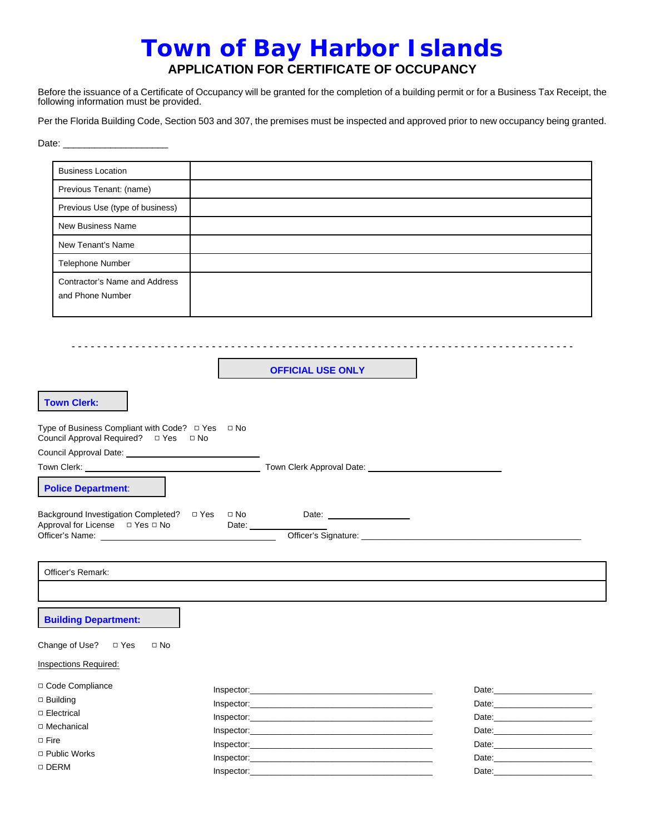# **Town of Bay Harbor Islands APPLICATION FOR CERTIFICATE OF OCCUPANCY**

Before the issuance of a Certificate of Occupancy will be granted for the completion of a building permit or for a Business Tax Receipt, the following information must be provided.

Per the Florida Building Code, Section 503 and 307, the premises must be inspected and approved prior to new occupancy being granted.

Date: \_\_\_\_\_\_\_\_\_\_\_\_\_\_\_\_\_\_\_\_

| <b>Business Location</b>                                                                  |                          |                                                                                                                                                                                                                                |  |
|-------------------------------------------------------------------------------------------|--------------------------|--------------------------------------------------------------------------------------------------------------------------------------------------------------------------------------------------------------------------------|--|
| Previous Tenant: (name)                                                                   |                          |                                                                                                                                                                                                                                |  |
| Previous Use (type of business)                                                           |                          |                                                                                                                                                                                                                                |  |
| <b>New Business Name</b>                                                                  |                          |                                                                                                                                                                                                                                |  |
| New Tenant's Name                                                                         |                          |                                                                                                                                                                                                                                |  |
|                                                                                           |                          |                                                                                                                                                                                                                                |  |
| Telephone Number                                                                          |                          |                                                                                                                                                                                                                                |  |
| Contractor's Name and Address<br>and Phone Number                                         |                          |                                                                                                                                                                                                                                |  |
|                                                                                           |                          |                                                                                                                                                                                                                                |  |
|                                                                                           | <b>OFFICIAL USE ONLY</b> |                                                                                                                                                                                                                                |  |
| <b>Town Clerk:</b>                                                                        |                          |                                                                                                                                                                                                                                |  |
| Type of Business Compliant with Code? □ Yes □ No<br>Council Approval Required? □ Yes □ No |                          |                                                                                                                                                                                                                                |  |
|                                                                                           |                          |                                                                                                                                                                                                                                |  |
|                                                                                           |                          |                                                                                                                                                                                                                                |  |
| <b>Police Department:</b>                                                                 |                          |                                                                                                                                                                                                                                |  |
|                                                                                           |                          |                                                                                                                                                                                                                                |  |
|                                                                                           |                          |                                                                                                                                                                                                                                |  |
| Officer's Remark:                                                                         |                          |                                                                                                                                                                                                                                |  |
|                                                                                           |                          |                                                                                                                                                                                                                                |  |
| <b>Building Department:</b>                                                               |                          |                                                                                                                                                                                                                                |  |
| Change of Use?<br>$\Box$ Yes<br>$\Box$ No                                                 |                          |                                                                                                                                                                                                                                |  |
| Inspections Required:                                                                     |                          |                                                                                                                                                                                                                                |  |
| □ Code Compliance                                                                         |                          |                                                                                                                                                                                                                                |  |
| $\Box$ Building                                                                           |                          | Date:__________________________                                                                                                                                                                                                |  |
| □ Electrical                                                                              |                          |                                                                                                                                                                                                                                |  |
| □ Mechanical                                                                              |                          |                                                                                                                                                                                                                                |  |
| $\Box$ Fire                                                                               |                          | Date: the contract of the contract of the contract of the contract of the contract of the contract of the contract of the contract of the contract of the contract of the contract of the contract of the contract of the cont |  |
| □ Public Works                                                                            |                          |                                                                                                                                                                                                                                |  |
| □ DERM                                                                                    | Inspector:               | Date: <u>Date:</u>                                                                                                                                                                                                             |  |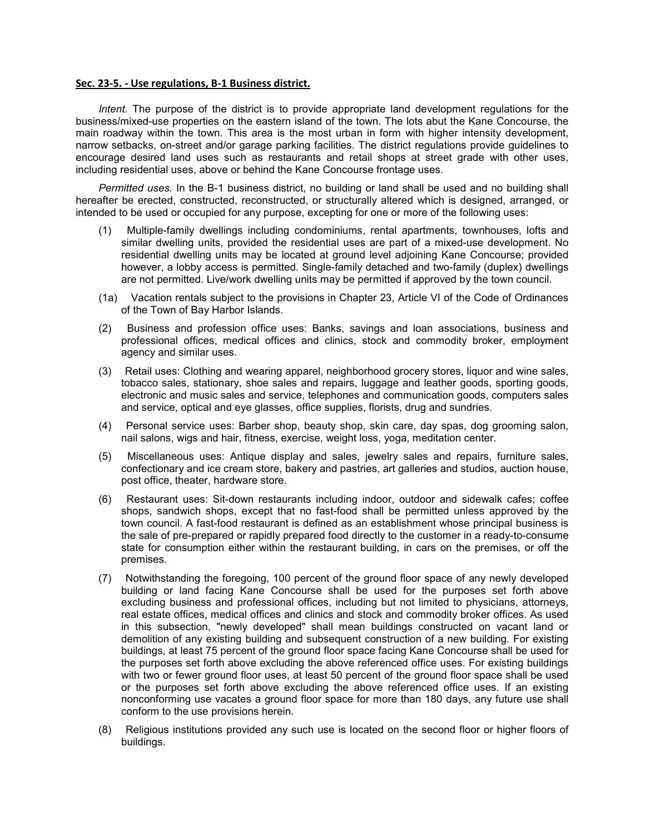#### **Sec. 23-5. - Use regulations, B-1 Business district.**

*Intent.* The purpose of the district is to provide appropriate land development regulations for the business/mixed-use properties on the eastern island of the town. The lots abut the Kane Concourse, the main roadway within the town. This area is the most urban in form with higher intensity development, narrow setbacks, on-street and/or garage parking facilities. The district regulations provide guidelines to encourage desired land uses such as restaurants and retail shops at street grade with other uses, including residential uses, above or behind the Kane Concourse frontage uses.

*Permitted uses.* In the B-1 business district, no building or land shall be used and no building shall hereafter be erected, constructed, reconstructed, or structurally altered which is designed, arranged, or intended to be used or occupied for any purpose, excepting for one or more of the following uses:

- (1) Multiple-family dwellings including condominiums, rental apartments, townhouses, lofts and similar dwelling units, provided the residential uses are part of a mixed-use development. No residential dwelling units may be located at ground level adjoining Kane Concourse; provided however, a lobby access is permitted. Single-family detached and two-family (duplex) dwellings are not permitted. Live/work dwelling units may be permitted if approved by the town council.
- (1a) Vacation rentals subject to the provisions in Chapter 23, Article VI of the Code of Ordinances of the Town of Bay Harbor Islands.
- (2) Business and profession office uses: Banks, savings and loan associations, business and professional offices, medical offices and clinics, stock and commodity broker, employment agency and similar uses.
- (3) Retail uses: Clothing and wearing apparel, neighborhood grocery stores, liquor and wine sales, tobacco sales, stationary, shoe sales and repairs, luggage and leather goods, sporting goods, electronic and music sales and service, telephones and communication goods, computers sales and service, optical and eye glasses, office supplies, florists, drug and sundries.
- (4) Personal service uses: Barber shop, beauty shop, skin care, day spas, dog grooming salon, nail salons, wigs and hair, fitness, exercise, weight loss, yoga, meditation center.
- (5) Miscellaneous uses: Antique display and sales, jewelry sales and repairs, furniture sales, confectionary and ice cream store, bakery and pastries, art galleries and studios, auction house, post office, theater, hardware store.
- (6) Restaurant uses: Sit-down restaurants including indoor, outdoor and sidewalk cafes; coffee shops, sandwich shops, except that no fast-food shall be permitted unless approved by the town council. A fast-food restaurant is defined as an establishment whose principal business is the sale of pre-prepared or rapidly prepared food directly to the customer in a ready-to-consume state for consumption either within the restaurant building, in cars on the premises, or off the premises.
- (7) Notwithstanding the foregoing, 100 percent of the ground floor space of any newly developed building or land facing Kane Concourse shall be used for the purposes set forth above excluding business and professional offices, including but not limited to physicians, attorneys, real estate offices, medical offices and clinics and stock and commodity broker offices. As used in this subsection, "newly developed" shall mean buildings constructed on vacant land or demolition of any existing building and subsequent construction of a new building. For existing buildings, at least 75 percent of the ground floor space facing Kane Concourse shall be used for the purposes set forth above excluding the above referenced office uses. For existing buildings with two or fewer ground floor uses, at least 50 percent of the ground floor space shall be used or the purposes set forth above excluding the above referenced office uses. If an existing nonconforming use vacates a ground floor space for more than 180 days, any future use shall conform to the use provisions herein.
- (8) Religious institutions provided any such use is located on the second floor or higher floors of buildings.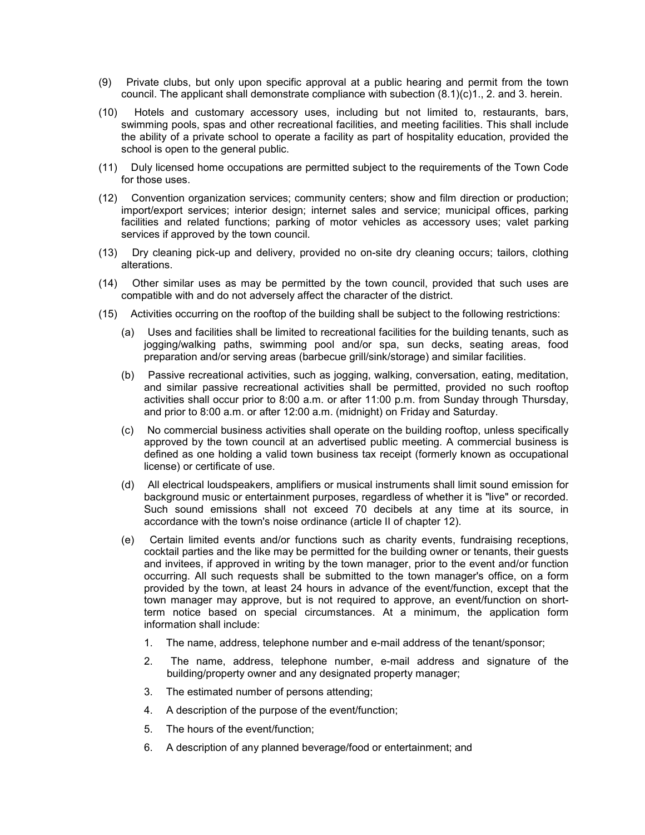- (9) Private clubs, but only upon specific approval at a public hearing and permit from the town council. The applicant shall demonstrate compliance with subection (8.1)(c)1., 2. and 3. herein.
- (10) Hotels and customary accessory uses, including but not limited to, restaurants, bars, swimming pools, spas and other recreational facilities, and meeting facilities. This shall include the ability of a private school to operate a facility as part of hospitality education, provided the school is open to the general public.
- (11) Duly licensed home occupations are permitted subject to the requirements of the Town Code for those uses.
- (12) Convention organization services; community centers; show and film direction or production; import/export services; interior design; internet sales and service; municipal offices, parking facilities and related functions; parking of motor vehicles as accessory uses; valet parking services if approved by the town council.
- (13) Dry cleaning pick-up and delivery, provided no on-site dry cleaning occurs; tailors, clothing alterations.
- (14) Other similar uses as may be permitted by the town council, provided that such uses are compatible with and do not adversely affect the character of the district.
- (15) Activities occurring on the rooftop of the building shall be subject to the following restrictions:
	- (a) Uses and facilities shall be limited to recreational facilities for the building tenants, such as jogging/walking paths, swimming pool and/or spa, sun decks, seating areas, food preparation and/or serving areas (barbecue grill/sink/storage) and similar facilities.
	- (b) Passive recreational activities, such as jogging, walking, conversation, eating, meditation, and similar passive recreational activities shall be permitted, provided no such rooftop activities shall occur prior to 8:00 a.m. or after 11:00 p.m. from Sunday through Thursday, and prior to 8:00 a.m. or after 12:00 a.m. (midnight) on Friday and Saturday.
	- (c) No commercial business activities shall operate on the building rooftop, unless specifically approved by the town council at an advertised public meeting. A commercial business is defined as one holding a valid town business tax receipt (formerly known as occupational license) or certificate of use.
	- (d) All electrical loudspeakers, amplifiers or musical instruments shall limit sound emission for background music or entertainment purposes, regardless of whether it is "live" or recorded. Such sound emissions shall not exceed 70 decibels at any time at its source, in accordance with the town's noise ordinance (article II of chapter 12).
	- (e) Certain limited events and/or functions such as charity events, fundraising receptions, cocktail parties and the like may be permitted for the building owner or tenants, their guests and invitees, if approved in writing by the town manager, prior to the event and/or function occurring. All such requests shall be submitted to the town manager's office, on a form provided by the town, at least 24 hours in advance of the event/function, except that the town manager may approve, but is not required to approve, an event/function on shortterm notice based on special circumstances. At a minimum, the application form information shall include:
		- 1. The name, address, telephone number and e-mail address of the tenant/sponsor;
		- 2. The name, address, telephone number, e-mail address and signature of the building/property owner and any designated property manager;
		- 3. The estimated number of persons attending;
		- 4. A description of the purpose of the event/function;
		- 5. The hours of the event/function;
		- 6. A description of any planned beverage/food or entertainment; and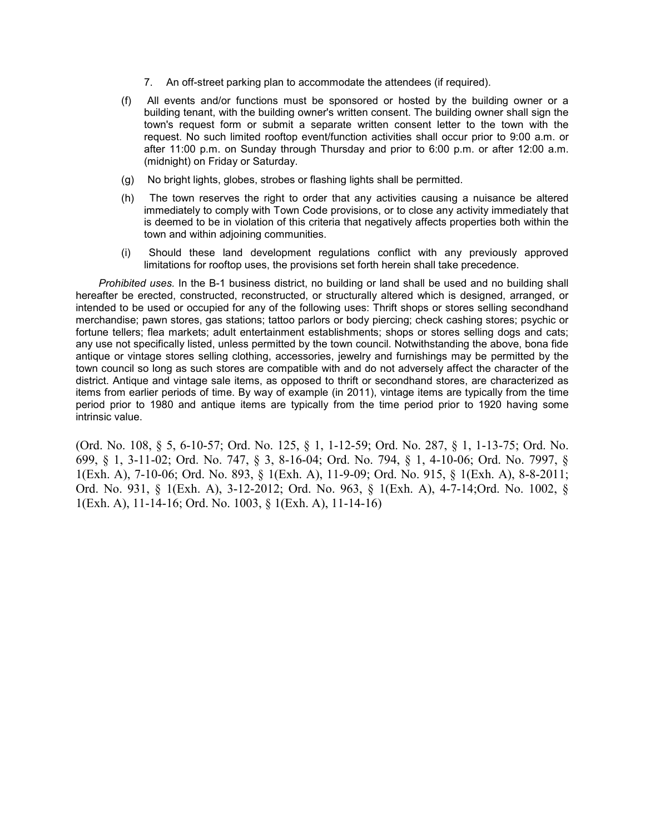- 7. An off-street parking plan to accommodate the attendees (if required).
- (f) All events and/or functions must be sponsored or hosted by the building owner or a building tenant, with the building owner's written consent. The building owner shall sign the town's request form or submit a separate written consent letter to the town with the request. No such limited rooftop event/function activities shall occur prior to 9:00 a.m. or after 11:00 p.m. on Sunday through Thursday and prior to 6:00 p.m. or after 12:00 a.m. (midnight) on Friday or Saturday.
- (g) No bright lights, globes, strobes or flashing lights shall be permitted.
- (h) The town reserves the right to order that any activities causing a nuisance be altered immediately to comply with Town Code provisions, or to close any activity immediately that is deemed to be in violation of this criteria that negatively affects properties both within the town and within adjoining communities.
- (i) Should these land development regulations conflict with any previously approved limitations for rooftop uses, the provisions set forth herein shall take precedence.

*Prohibited uses.* In the B-1 business district, no building or land shall be used and no building shall hereafter be erected, constructed, reconstructed, or structurally altered which is designed, arranged, or intended to be used or occupied for any of the following uses: Thrift shops or stores selling secondhand merchandise; pawn stores, gas stations; tattoo parlors or body piercing; check cashing stores; psychic or fortune tellers; flea markets; adult entertainment establishments; shops or stores selling dogs and cats; any use not specifically listed, unless permitted by the town council. Notwithstanding the above, bona fide antique or vintage stores selling clothing, accessories, jewelry and furnishings may be permitted by the town council so long as such stores are compatible with and do not adversely affect the character of the district. Antique and vintage sale items, as opposed to thrift or secondhand stores, are characterized as items from earlier periods of time. By way of example (in 2011), vintage items are typically from the time period prior to 1980 and antique items are typically from the time period prior to 1920 having some intrinsic value.

(Ord. No. 108, § 5, 6-10-57; Ord. No. 125, § 1, 1-12-59; Ord. No. 287, § 1, 1-13-75; Ord. No. 699, § 1, 3-11-02; Ord. No. 747, § 3, 8-16-04; Ord. No. 794, § 1, 4-10-06; Ord. No. 7997, § 1(Exh. A), 7-10-06; Ord. No. 893, § 1(Exh. A), 11-9-09; Ord. No. 915, § 1(Exh. A), 8-8-2011; Ord. No. 931, § 1(Exh. A), 3-12-2012; Ord. No. 963, § 1(Exh. A), 4-7-14;Ord. No. 1002, § 1(Exh. A), 11-14-16; Ord. No. 1003, § 1(Exh. A), 11-14-16)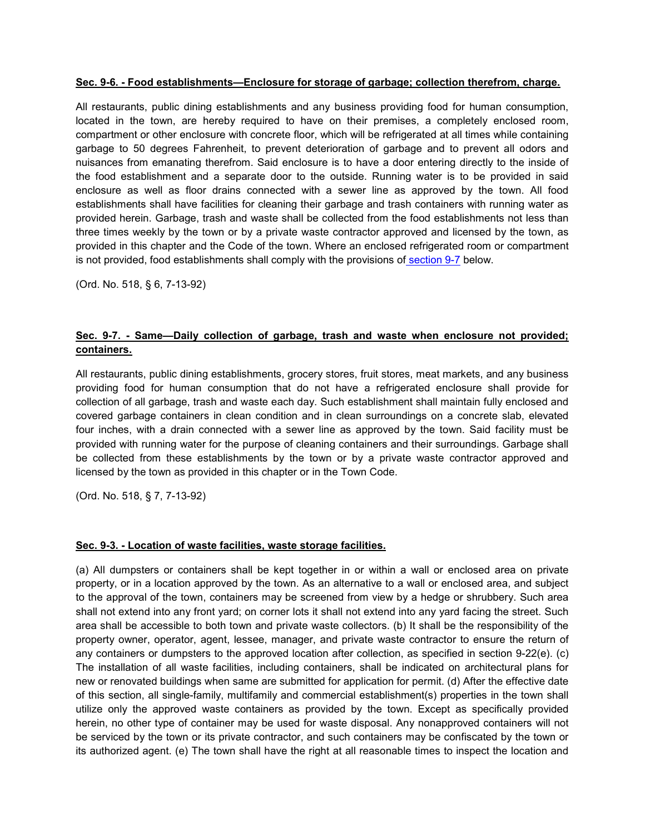#### **Sec. 9-6. - Food establishments—Enclosure for storage of garbage; collection therefrom, charge.**

All restaurants, public dining establishments and any business providing food for human consumption, located in the town, are hereby required to have on their premises, a completely enclosed room, compartment or other enclosure with concrete floor, which will be refrigerated at all times while containing garbage to 50 degrees Fahrenheit, to prevent deterioration of garbage and to prevent all odors and nuisances from emanating therefrom. Said enclosure is to have a door entering directly to the inside of the food establishment and a separate door to the outside. Running water is to be provided in said enclosure as well as floor drains connected with a sewer line as approved by the town. All food establishments shall have facilities for cleaning their garbage and trash containers with running water as provided herein. Garbage, trash and waste shall be collected from the food establishments not less than three times weekly by the town or by a private waste contractor approved and licensed by the town, as provided in this chapter and the Code of the town. Where an enclosed refrigerated room or compartment is not provided, food establishments shall comply with the provisions of [section](https://library.municode.com/fl/bay_harbor_islands/codes/code_of_ordinances?nodeId=PTIICOOR_CH9SOWACO_ARTIINGE_S9-7SAAICOGATRWAWHENNOPRCO) 9-7 below.

(Ord. No. 518, § 6, 7-13-92)

### **Sec. 9-7. - Same—Daily collection of garbage, trash and waste when enclosure not provided; containers.**

All restaurants, public dining establishments, grocery stores, fruit stores, meat markets, and any business providing food for human consumption that do not have a refrigerated enclosure shall provide for collection of all garbage, trash and waste each day. Such establishment shall maintain fully enclosed and covered garbage containers in clean condition and in clean surroundings on a concrete slab, elevated four inches, with a drain connected with a sewer line as approved by the town. Said facility must be provided with running water for the purpose of cleaning containers and their surroundings. Garbage shall be collected from these establishments by the town or by a private waste contractor approved and licensed by the town as provided in this chapter or in the Town Code.

(Ord. No. 518, § 7, 7-13-92)

#### **Sec. 9-3. - Location of waste facilities, waste storage facilities.**

(a) All dumpsters or containers shall be kept together in or within a wall or enclosed area on private property, or in a location approved by the town. As an alternative to a wall or enclosed area, and subject to the approval of the town, containers may be screened from view by a hedge or shrubbery. Such area shall not extend into any front yard; on corner lots it shall not extend into any yard facing the street. Such area shall be accessible to both town and private waste collectors. (b) It shall be the responsibility of the property owner, operator, agent, lessee, manager, and private waste contractor to ensure the return of any containers or dumpsters to the approved location after collection, as specified in section 9-22(e). (c) The installation of all waste facilities, including containers, shall be indicated on architectural plans for new or renovated buildings when same are submitted for application for permit. (d) After the effective date of this section, all single-family, multifamily and commercial establishment(s) properties in the town shall utilize only the approved waste containers as provided by the town. Except as specifically provided herein, no other type of container may be used for waste disposal. Any nonapproved containers will not be serviced by the town or its private contractor, and such containers may be confiscated by the town or its authorized agent. (e) The town shall have the right at all reasonable times to inspect the location and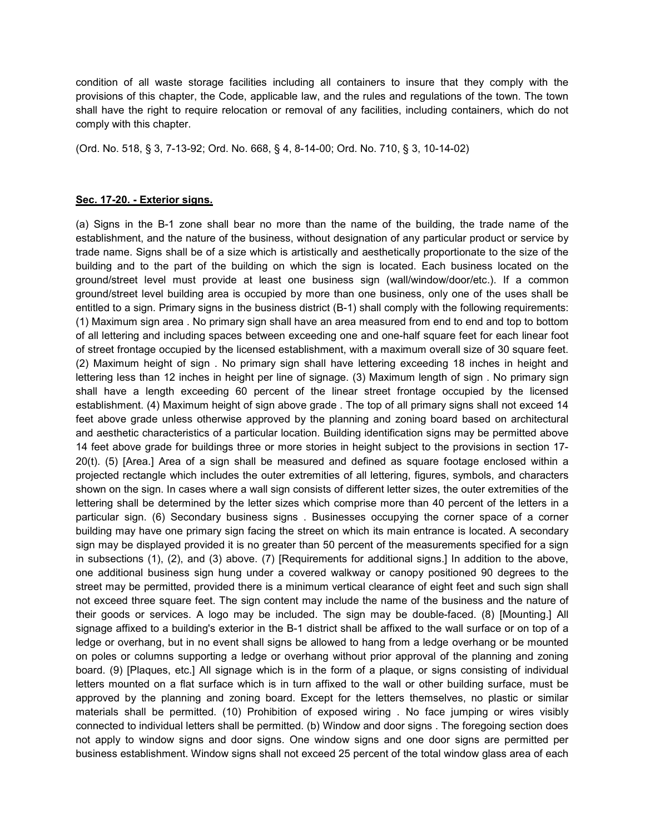condition of all waste storage facilities including all containers to insure that they comply with the provisions of this chapter, the Code, applicable law, and the rules and regulations of the town. The town shall have the right to require relocation or removal of any facilities, including containers, which do not comply with this chapter.

(Ord. No. 518, § 3, 7-13-92; Ord. No. 668, § 4, 8-14-00; Ord. No. 710, § 3, 10-14-02)

#### **Sec. 17-20. - Exterior signs.**

(a) Signs in the B-1 zone shall bear no more than the name of the building, the trade name of the establishment, and the nature of the business, without designation of any particular product or service by trade name. Signs shall be of a size which is artistically and aesthetically proportionate to the size of the building and to the part of the building on which the sign is located. Each business located on the ground/street level must provide at least one business sign (wall/window/door/etc.). If a common ground/street level building area is occupied by more than one business, only one of the uses shall be entitled to a sign. Primary signs in the business district (B-1) shall comply with the following requirements: (1) Maximum sign area . No primary sign shall have an area measured from end to end and top to bottom of all lettering and including spaces between exceeding one and one-half square feet for each linear foot of street frontage occupied by the licensed establishment, with a maximum overall size of 30 square feet. (2) Maximum height of sign . No primary sign shall have lettering exceeding 18 inches in height and lettering less than 12 inches in height per line of signage. (3) Maximum length of sign . No primary sign shall have a length exceeding 60 percent of the linear street frontage occupied by the licensed establishment. (4) Maximum height of sign above grade . The top of all primary signs shall not exceed 14 feet above grade unless otherwise approved by the planning and zoning board based on architectural and aesthetic characteristics of a particular location. Building identification signs may be permitted above 14 feet above grade for buildings three or more stories in height subject to the provisions in section 17- 20(t). (5) [Area.] Area of a sign shall be measured and defined as square footage enclosed within a projected rectangle which includes the outer extremities of all lettering, figures, symbols, and characters shown on the sign. In cases where a wall sign consists of different letter sizes, the outer extremities of the lettering shall be determined by the letter sizes which comprise more than 40 percent of the letters in a particular sign. (6) Secondary business signs . Businesses occupying the corner space of a corner building may have one primary sign facing the street on which its main entrance is located. A secondary sign may be displayed provided it is no greater than 50 percent of the measurements specified for a sign in subsections (1), (2), and (3) above. (7) [Requirements for additional signs.] In addition to the above, one additional business sign hung under a covered walkway or canopy positioned 90 degrees to the street may be permitted, provided there is a minimum vertical clearance of eight feet and such sign shall not exceed three square feet. The sign content may include the name of the business and the nature of their goods or services. A logo may be included. The sign may be double-faced. (8) [Mounting.] All signage affixed to a building's exterior in the B-1 district shall be affixed to the wall surface or on top of a ledge or overhang, but in no event shall signs be allowed to hang from a ledge overhang or be mounted on poles or columns supporting a ledge or overhang without prior approval of the planning and zoning board. (9) [Plaques, etc.] All signage which is in the form of a plaque, or signs consisting of individual letters mounted on a flat surface which is in turn affixed to the wall or other building surface, must be approved by the planning and zoning board. Except for the letters themselves, no plastic or similar materials shall be permitted. (10) Prohibition of exposed wiring . No face jumping or wires visibly connected to individual letters shall be permitted. (b) Window and door signs . The foregoing section does not apply to window signs and door signs. One window signs and one door signs are permitted per business establishment. Window signs shall not exceed 25 percent of the total window glass area of each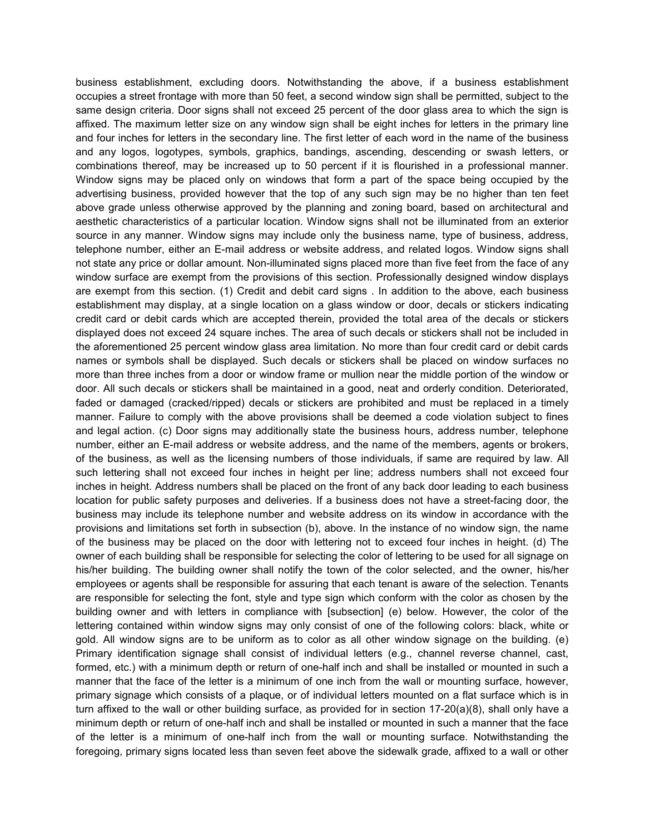business establishment, excluding doors. Notwithstanding the above, if a business establishment occupies a street frontage with more than 50 feet, a second window sign shall be permitted, subject to the same design criteria. Door signs shall not exceed 25 percent of the door glass area to which the sign is affixed. The maximum letter size on any window sign shall be eight inches for letters in the primary line and four inches for letters in the secondary line. The first letter of each word in the name of the business and any logos, logotypes, symbols, graphics, bandings, ascending, descending or swash letters, or combinations thereof, may be increased up to 50 percent if it is flourished in a professional manner. Window signs may be placed only on windows that form a part of the space being occupied by the advertising business, provided however that the top of any such sign may be no higher than ten feet above grade unless otherwise approved by the planning and zoning board, based on architectural and aesthetic characteristics of a particular location. Window signs shall not be illuminated from an exterior source in any manner. Window signs may include only the business name, type of business, address, telephone number, either an E-mail address or website address, and related logos. Window signs shall not state any price or dollar amount. Non-illuminated signs placed more than five feet from the face of any window surface are exempt from the provisions of this section. Professionally designed window displays are exempt from this section. (1) Credit and debit card signs . In addition to the above, each business establishment may display, at a single location on a glass window or door, decals or stickers indicating credit card or debit cards which are accepted therein, provided the total area of the decals or stickers displayed does not exceed 24 square inches. The area of such decals or stickers shall not be included in the aforementioned 25 percent window glass area limitation. No more than four credit card or debit cards names or symbols shall be displayed. Such decals or stickers shall be placed on window surfaces no more than three inches from a door or window frame or mullion near the middle portion of the window or door. All such decals or stickers shall be maintained in a good, neat and orderly condition. Deteriorated, faded or damaged (cracked/ripped) decals or stickers are prohibited and must be replaced in a timely manner. Failure to comply with the above provisions shall be deemed a code violation subject to fines and legal action. (c) Door signs may additionally state the business hours, address number, telephone number, either an E-mail address or website address, and the name of the members, agents or brokers, of the business, as well as the licensing numbers of those individuals, if same are required by law. All such lettering shall not exceed four inches in height per line; address numbers shall not exceed four inches in height. Address numbers shall be placed on the front of any back door leading to each business location for public safety purposes and deliveries. If a business does not have a street-facing door, the business may include its telephone number and website address on its window in accordance with the provisions and limitations set forth in subsection (b), above. In the instance of no window sign, the name of the business may be placed on the door with lettering not to exceed four inches in height. (d) The owner of each building shall be responsible for selecting the color of lettering to be used for all signage on his/her building. The building owner shall notify the town of the color selected, and the owner, his/her employees or agents shall be responsible for assuring that each tenant is aware of the selection. Tenants are responsible for selecting the font, style and type sign which conform with the color as chosen by the building owner and with letters in compliance with [subsection] (e) below. However, the color of the lettering contained within window signs may only consist of one of the following colors: black, white or gold. All window signs are to be uniform as to color as all other window signage on the building. (e) Primary identification signage shall consist of individual letters (e.g., channel reverse channel, cast, formed, etc.) with a minimum depth or return of one-half inch and shall be installed or mounted in such a manner that the face of the letter is a minimum of one inch from the wall or mounting surface, however, primary signage which consists of a plaque, or of individual letters mounted on a flat surface which is in turn affixed to the wall or other building surface, as provided for in section 17-20(a)(8), shall only have a minimum depth or return of one-half inch and shall be installed or mounted in such a manner that the face of the letter is a minimum of one-half inch from the wall or mounting surface. Notwithstanding the foregoing, primary signs located less than seven feet above the sidewalk grade, affixed to a wall or other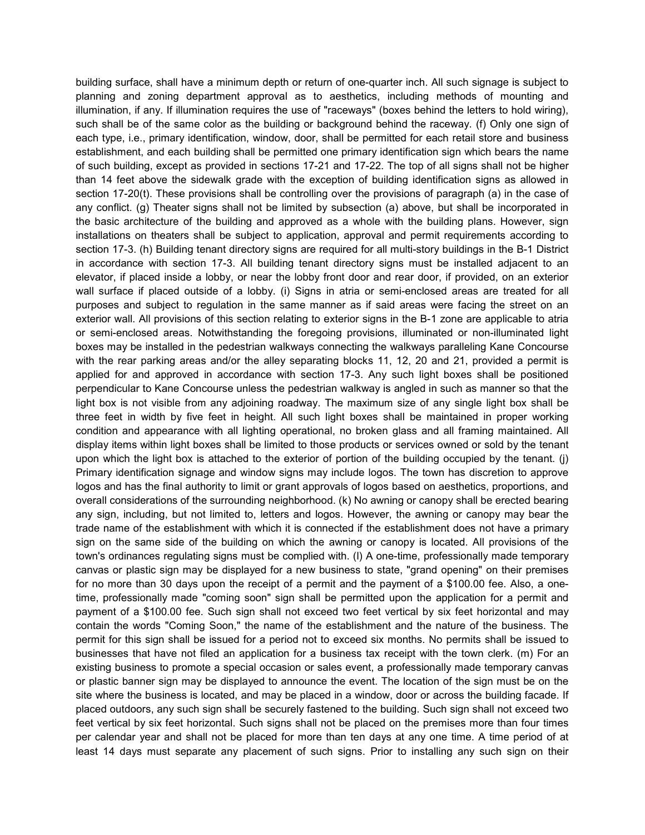building surface, shall have a minimum depth or return of one-quarter inch. All such signage is subject to planning and zoning department approval as to aesthetics, including methods of mounting and illumination, if any. If illumination requires the use of "raceways" (boxes behind the letters to hold wiring), such shall be of the same color as the building or background behind the raceway. (f) Only one sign of each type, i.e., primary identification, window, door, shall be permitted for each retail store and business establishment, and each building shall be permitted one primary identification sign which bears the name of such building, except as provided in sections 17-21 and 17-22. The top of all signs shall not be higher than 14 feet above the sidewalk grade with the exception of building identification signs as allowed in section 17-20(t). These provisions shall be controlling over the provisions of paragraph (a) in the case of any conflict. (g) Theater signs shall not be limited by subsection (a) above, but shall be incorporated in the basic architecture of the building and approved as a whole with the building plans. However, sign installations on theaters shall be subject to application, approval and permit requirements according to section 17-3. (h) Building tenant directory signs are required for all multi-story buildings in the B-1 District in accordance with section 17-3. All building tenant directory signs must be installed adjacent to an elevator, if placed inside a lobby, or near the lobby front door and rear door, if provided, on an exterior wall surface if placed outside of a lobby. (i) Signs in atria or semi-enclosed areas are treated for all purposes and subject to regulation in the same manner as if said areas were facing the street on an exterior wall. All provisions of this section relating to exterior signs in the B-1 zone are applicable to atria or semi-enclosed areas. Notwithstanding the foregoing provisions, illuminated or non-illuminated light boxes may be installed in the pedestrian walkways connecting the walkways paralleling Kane Concourse with the rear parking areas and/or the alley separating blocks 11, 12, 20 and 21, provided a permit is applied for and approved in accordance with section 17-3. Any such light boxes shall be positioned perpendicular to Kane Concourse unless the pedestrian walkway is angled in such as manner so that the light box is not visible from any adjoining roadway. The maximum size of any single light box shall be three feet in width by five feet in height. All such light boxes shall be maintained in proper working condition and appearance with all lighting operational, no broken glass and all framing maintained. All display items within light boxes shall be limited to those products or services owned or sold by the tenant upon which the light box is attached to the exterior of portion of the building occupied by the tenant. (j) Primary identification signage and window signs may include logos. The town has discretion to approve logos and has the final authority to limit or grant approvals of logos based on aesthetics, proportions, and overall considerations of the surrounding neighborhood. (k) No awning or canopy shall be erected bearing any sign, including, but not limited to, letters and logos. However, the awning or canopy may bear the trade name of the establishment with which it is connected if the establishment does not have a primary sign on the same side of the building on which the awning or canopy is located. All provisions of the town's ordinances regulating signs must be complied with. (l) A one-time, professionally made temporary canvas or plastic sign may be displayed for a new business to state, "grand opening" on their premises for no more than 30 days upon the receipt of a permit and the payment of a \$100.00 fee. Also, a onetime, professionally made "coming soon" sign shall be permitted upon the application for a permit and payment of a \$100.00 fee. Such sign shall not exceed two feet vertical by six feet horizontal and may contain the words "Coming Soon," the name of the establishment and the nature of the business. The permit for this sign shall be issued for a period not to exceed six months. No permits shall be issued to businesses that have not filed an application for a business tax receipt with the town clerk. (m) For an existing business to promote a special occasion or sales event, a professionally made temporary canvas or plastic banner sign may be displayed to announce the event. The location of the sign must be on the site where the business is located, and may be placed in a window, door or across the building facade. If placed outdoors, any such sign shall be securely fastened to the building. Such sign shall not exceed two feet vertical by six feet horizontal. Such signs shall not be placed on the premises more than four times per calendar year and shall not be placed for more than ten days at any one time. A time period of at least 14 days must separate any placement of such signs. Prior to installing any such sign on their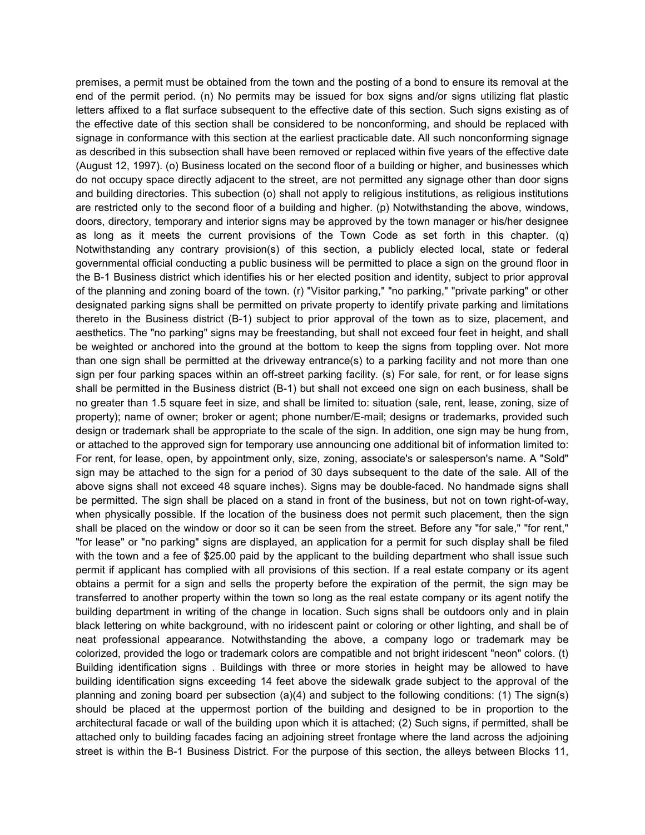premises, a permit must be obtained from the town and the posting of a bond to ensure its removal at the end of the permit period. (n) No permits may be issued for box signs and/or signs utilizing flat plastic letters affixed to a flat surface subsequent to the effective date of this section. Such signs existing as of the effective date of this section shall be considered to be nonconforming, and should be replaced with signage in conformance with this section at the earliest practicable date. All such nonconforming signage as described in this subsection shall have been removed or replaced within five years of the effective date (August 12, 1997). (o) Business located on the second floor of a building or higher, and businesses which do not occupy space directly adjacent to the street, are not permitted any signage other than door signs and building directories. This subection (o) shall not apply to religious institutions, as religious institutions are restricted only to the second floor of a building and higher. (p) Notwithstanding the above, windows, doors, directory, temporary and interior signs may be approved by the town manager or his/her designee as long as it meets the current provisions of the Town Code as set forth in this chapter. (q) Notwithstanding any contrary provision(s) of this section, a publicly elected local, state or federal governmental official conducting a public business will be permitted to place a sign on the ground floor in the B-1 Business district which identifies his or her elected position and identity, subject to prior approval of the planning and zoning board of the town. (r) "Visitor parking," "no parking," "private parking" or other designated parking signs shall be permitted on private property to identify private parking and limitations thereto in the Business district (B-1) subject to prior approval of the town as to size, placement, and aesthetics. The "no parking" signs may be freestanding, but shall not exceed four feet in height, and shall be weighted or anchored into the ground at the bottom to keep the signs from toppling over. Not more than one sign shall be permitted at the driveway entrance(s) to a parking facility and not more than one sign per four parking spaces within an off-street parking facility. (s) For sale, for rent, or for lease signs shall be permitted in the Business district (B-1) but shall not exceed one sign on each business, shall be no greater than 1.5 square feet in size, and shall be limited to: situation (sale, rent, lease, zoning, size of property); name of owner; broker or agent; phone number/E-mail; designs or trademarks, provided such design or trademark shall be appropriate to the scale of the sign. In addition, one sign may be hung from, or attached to the approved sign for temporary use announcing one additional bit of information limited to: For rent, for lease, open, by appointment only, size, zoning, associate's or salesperson's name. A "Sold" sign may be attached to the sign for a period of 30 days subsequent to the date of the sale. All of the above signs shall not exceed 48 square inches). Signs may be double-faced. No handmade signs shall be permitted. The sign shall be placed on a stand in front of the business, but not on town right-of-way, when physically possible. If the location of the business does not permit such placement, then the sign shall be placed on the window or door so it can be seen from the street. Before any "for sale," "for rent," "for lease" or "no parking" signs are displayed, an application for a permit for such display shall be filed with the town and a fee of \$25.00 paid by the applicant to the building department who shall issue such permit if applicant has complied with all provisions of this section. If a real estate company or its agent obtains a permit for a sign and sells the property before the expiration of the permit, the sign may be transferred to another property within the town so long as the real estate company or its agent notify the building department in writing of the change in location. Such signs shall be outdoors only and in plain black lettering on white background, with no iridescent paint or coloring or other lighting, and shall be of neat professional appearance. Notwithstanding the above, a company logo or trademark may be colorized, provided the logo or trademark colors are compatible and not bright iridescent "neon" colors. (t) Building identification signs . Buildings with three or more stories in height may be allowed to have building identification signs exceeding 14 feet above the sidewalk grade subject to the approval of the planning and zoning board per subsection (a)(4) and subject to the following conditions: (1) The sign(s) should be placed at the uppermost portion of the building and designed to be in proportion to the architectural facade or wall of the building upon which it is attached; (2) Such signs, if permitted, shall be attached only to building facades facing an adjoining street frontage where the land across the adjoining street is within the B-1 Business District. For the purpose of this section, the alleys between Blocks 11,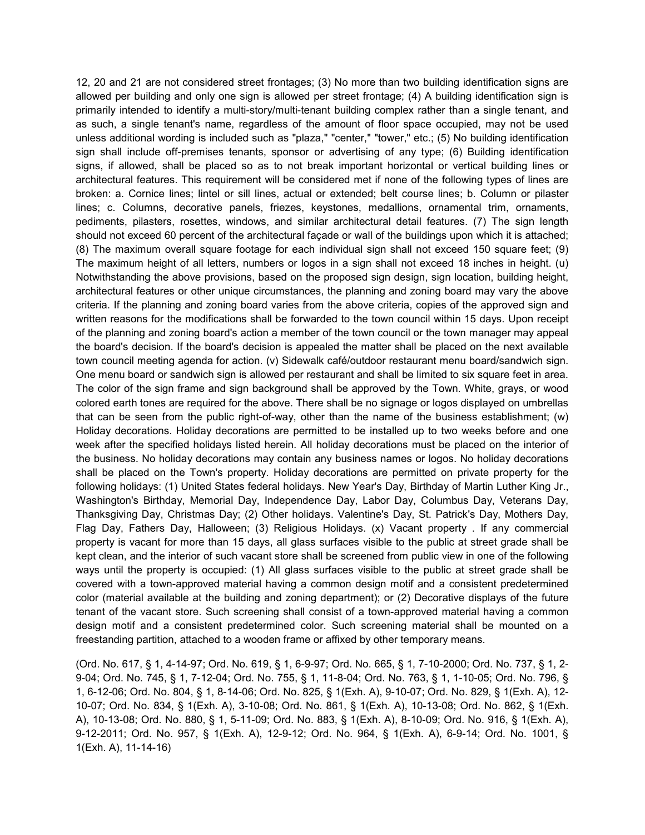12, 20 and 21 are not considered street frontages; (3) No more than two building identification signs are allowed per building and only one sign is allowed per street frontage; (4) A building identification sign is primarily intended to identify a multi-story/multi-tenant building complex rather than a single tenant, and as such, a single tenant's name, regardless of the amount of floor space occupied, may not be used unless additional wording is included such as "plaza," "center," "tower," etc.; (5) No building identification sign shall include off-premises tenants, sponsor or advertising of any type; (6) Building identification signs, if allowed, shall be placed so as to not break important horizontal or vertical building lines or architectural features. This requirement will be considered met if none of the following types of lines are broken: a. Cornice lines; lintel or sill lines, actual or extended; belt course lines; b. Column or pilaster lines; c. Columns, decorative panels, friezes, keystones, medallions, ornamental trim, ornaments, pediments, pilasters, rosettes, windows, and similar architectural detail features. (7) The sign length should not exceed 60 percent of the architectural façade or wall of the buildings upon which it is attached; (8) The maximum overall square footage for each individual sign shall not exceed 150 square feet; (9) The maximum height of all letters, numbers or logos in a sign shall not exceed 18 inches in height. (u) Notwithstanding the above provisions, based on the proposed sign design, sign location, building height, architectural features or other unique circumstances, the planning and zoning board may vary the above criteria. If the planning and zoning board varies from the above criteria, copies of the approved sign and written reasons for the modifications shall be forwarded to the town council within 15 days. Upon receipt of the planning and zoning board's action a member of the town council or the town manager may appeal the board's decision. If the board's decision is appealed the matter shall be placed on the next available town council meeting agenda for action. (v) Sidewalk café/outdoor restaurant menu board/sandwich sign. One menu board or sandwich sign is allowed per restaurant and shall be limited to six square feet in area. The color of the sign frame and sign background shall be approved by the Town. White, grays, or wood colored earth tones are required for the above. There shall be no signage or logos displayed on umbrellas that can be seen from the public right-of-way, other than the name of the business establishment; (w) Holiday decorations. Holiday decorations are permitted to be installed up to two weeks before and one week after the specified holidays listed herein. All holiday decorations must be placed on the interior of the business. No holiday decorations may contain any business names or logos. No holiday decorations shall be placed on the Town's property. Holiday decorations are permitted on private property for the following holidays: (1) United States federal holidays. New Year's Day, Birthday of Martin Luther King Jr., Washington's Birthday, Memorial Day, Independence Day, Labor Day, Columbus Day, Veterans Day, Thanksgiving Day, Christmas Day; (2) Other holidays. Valentine's Day, St. Patrick's Day, Mothers Day, Flag Day, Fathers Day, Halloween; (3) Religious Holidays. (x) Vacant property . If any commercial property is vacant for more than 15 days, all glass surfaces visible to the public at street grade shall be kept clean, and the interior of such vacant store shall be screened from public view in one of the following ways until the property is occupied: (1) All glass surfaces visible to the public at street grade shall be covered with a town-approved material having a common design motif and a consistent predetermined color (material available at the building and zoning department); or (2) Decorative displays of the future tenant of the vacant store. Such screening shall consist of a town-approved material having a common design motif and a consistent predetermined color. Such screening material shall be mounted on a freestanding partition, attached to a wooden frame or affixed by other temporary means.

(Ord. No. 617, § 1, 4-14-97; Ord. No. 619, § 1, 6-9-97; Ord. No. 665, § 1, 7-10-2000; Ord. No. 737, § 1, 2- 9-04; Ord. No. 745, § 1, 7-12-04; Ord. No. 755, § 1, 11-8-04; Ord. No. 763, § 1, 1-10-05; Ord. No. 796, § 1, 6-12-06; Ord. No. 804, § 1, 8-14-06; Ord. No. 825, § 1(Exh. A), 9-10-07; Ord. No. 829, § 1(Exh. A), 12- 10-07; Ord. No. 834, § 1(Exh. A), 3-10-08; Ord. No. 861, § 1(Exh. A), 10-13-08; Ord. No. 862, § 1(Exh. A), 10-13-08; Ord. No. 880, § 1, 5-11-09; Ord. No. 883, § 1(Exh. A), 8-10-09; Ord. No. 916, § 1(Exh. A), 9-12-2011; Ord. No. 957, § 1(Exh. A), 12-9-12; Ord. No. 964, § 1(Exh. A), 6-9-14; Ord. No. 1001, § 1(Exh. A), 11-14-16)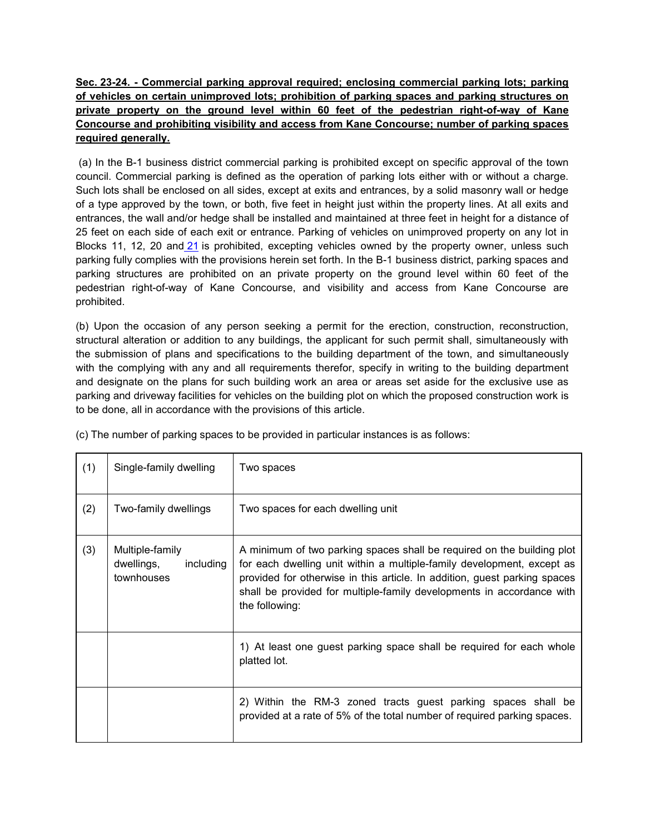## **Sec. 23-24. - Commercial parking approval required; enclosing commercial parking lots; parking of vehicles on certain unimproved lots; prohibition of parking spaces and parking structures on private property on the ground level within 60 feet of the pedestrian right-of-way of Kane Concourse and prohibiting visibility and access from Kane Concourse; number of parking spaces required generally.**

(a) In the B-1 business district commercial parking is prohibited except on specific approval of the town council. Commercial parking is defined as the operation of parking lots either with or without a charge. Such lots shall be enclosed on all sides, except at exits and entrances, by a solid masonry wall or hedge of a type approved by the town, or both, five feet in height just within the property lines. At all exits and entrances, the wall and/or hedge shall be installed and maintained at three feet in height for a distance of 25 feet on each side of each exit or entrance. Parking of vehicles on unimproved property on any lot in Blocks 11, 12, 20 and [21](https://library.municode.com/fl/bay_harbor_islands/codes/code_of_ordinances?nodeId=PTIICOOR_CH21FIINSPEV) is prohibited, excepting vehicles owned by the property owner, unless such parking fully complies with the provisions herein set forth. In the B-1 business district, parking spaces and parking structures are prohibited on an private property on the ground level within 60 feet of the pedestrian right-of-way of Kane Concourse, and visibility and access from Kane Concourse are prohibited.

(b) Upon the occasion of any person seeking a permit for the erection, construction, reconstruction, structural alteration or addition to any buildings, the applicant for such permit shall, simultaneously with the submission of plans and specifications to the building department of the town, and simultaneously with the complying with any and all requirements therefor, specify in writing to the building department and designate on the plans for such building work an area or areas set aside for the exclusive use as parking and driveway facilities for vehicles on the building plot on which the proposed construction work is to be done, all in accordance with the provisions of this article.

| (1) | Single-family dwelling                                   | Two spaces                                                                                                                                                                                                                                                                                                               |
|-----|----------------------------------------------------------|--------------------------------------------------------------------------------------------------------------------------------------------------------------------------------------------------------------------------------------------------------------------------------------------------------------------------|
| (2) | Two-family dwellings                                     | Two spaces for each dwelling unit                                                                                                                                                                                                                                                                                        |
| (3) | Multiple-family<br>dwellings,<br>including<br>townhouses | A minimum of two parking spaces shall be required on the building plot<br>for each dwelling unit within a multiple-family development, except as<br>provided for otherwise in this article. In addition, guest parking spaces<br>shall be provided for multiple-family developments in accordance with<br>the following: |
|     |                                                          | 1) At least one guest parking space shall be required for each whole<br>platted lot.                                                                                                                                                                                                                                     |
|     |                                                          | 2) Within the RM-3 zoned tracts guest parking spaces shall be<br>provided at a rate of 5% of the total number of required parking spaces.                                                                                                                                                                                |

(c) The number of parking spaces to be provided in particular instances is as follows: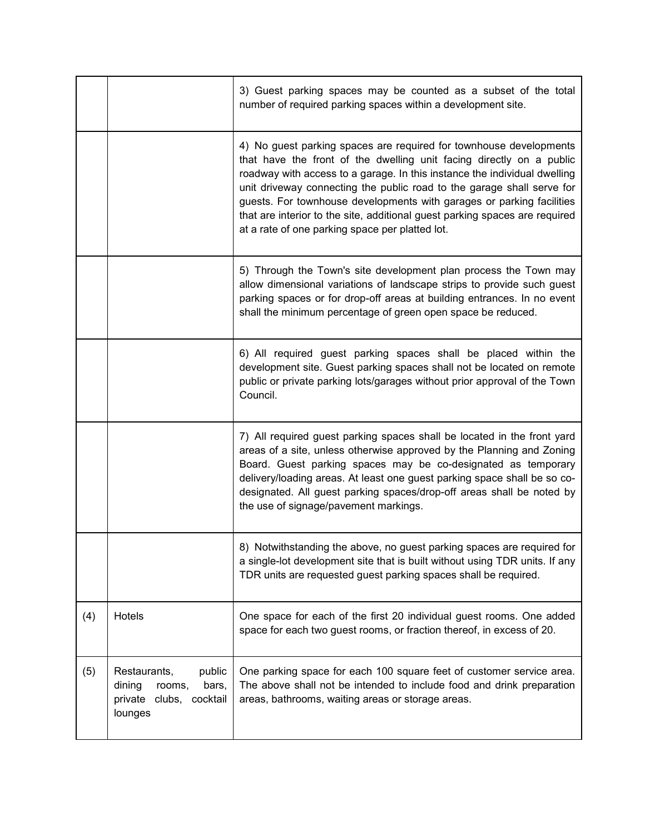|     |                                                                                           | 3) Guest parking spaces may be counted as a subset of the total<br>number of required parking spaces within a development site.                                                                                                                                                                                                                                                                                                                                                                              |
|-----|-------------------------------------------------------------------------------------------|--------------------------------------------------------------------------------------------------------------------------------------------------------------------------------------------------------------------------------------------------------------------------------------------------------------------------------------------------------------------------------------------------------------------------------------------------------------------------------------------------------------|
|     |                                                                                           | 4) No guest parking spaces are required for townhouse developments<br>that have the front of the dwelling unit facing directly on a public<br>roadway with access to a garage. In this instance the individual dwelling<br>unit driveway connecting the public road to the garage shall serve for<br>guests. For townhouse developments with garages or parking facilities<br>that are interior to the site, additional guest parking spaces are required<br>at a rate of one parking space per platted lot. |
|     |                                                                                           | 5) Through the Town's site development plan process the Town may<br>allow dimensional variations of landscape strips to provide such guest<br>parking spaces or for drop-off areas at building entrances. In no event<br>shall the minimum percentage of green open space be reduced.                                                                                                                                                                                                                        |
|     |                                                                                           | 6) All required guest parking spaces shall be placed within the<br>development site. Guest parking spaces shall not be located on remote<br>public or private parking lots/garages without prior approval of the Town<br>Council.                                                                                                                                                                                                                                                                            |
|     |                                                                                           | 7) All required guest parking spaces shall be located in the front yard<br>areas of a site, unless otherwise approved by the Planning and Zoning<br>Board. Guest parking spaces may be co-designated as temporary<br>delivery/loading areas. At least one guest parking space shall be so co-<br>designated. All guest parking spaces/drop-off areas shall be noted by<br>the use of signage/pavement markings.                                                                                              |
|     |                                                                                           | 8) Notwithstanding the above, no guest parking spaces are required for<br>a single-lot development site that is built without using TDR units. If any<br>TDR units are requested guest parking spaces shall be required.                                                                                                                                                                                                                                                                                     |
| (4) | Hotels                                                                                    | One space for each of the first 20 individual guest rooms. One added<br>space for each two guest rooms, or fraction thereof, in excess of 20.                                                                                                                                                                                                                                                                                                                                                                |
| (5) | Restaurants,<br>public<br>dining<br>rooms,<br>bars,<br>private clubs, cocktail<br>lounges | One parking space for each 100 square feet of customer service area.<br>The above shall not be intended to include food and drink preparation<br>areas, bathrooms, waiting areas or storage areas.                                                                                                                                                                                                                                                                                                           |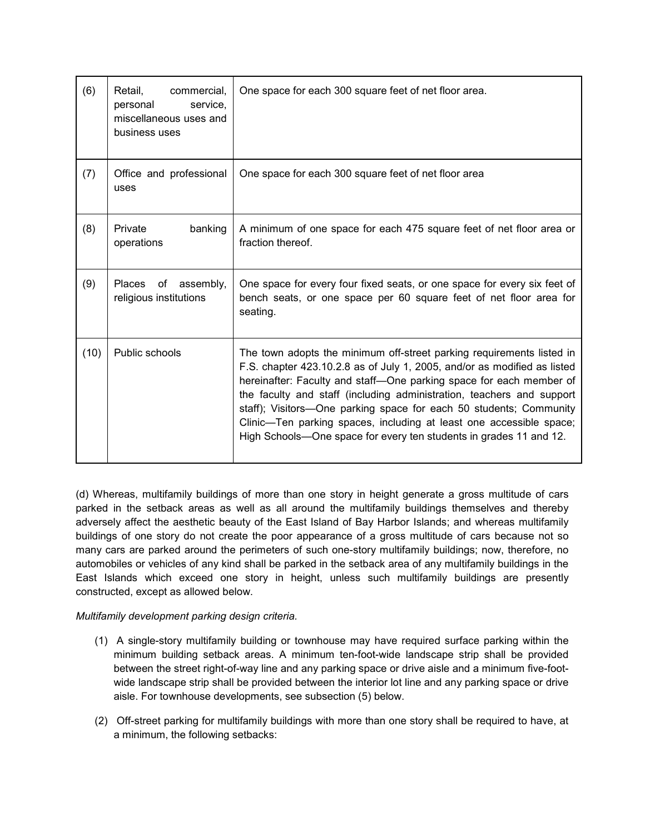| (6)  | commercial,<br>Retail,<br>service,<br>personal<br>miscellaneous uses and<br>business uses | One space for each 300 square feet of net floor area.                                                                                                                                                                                                                                                                                                                                                                                                                                                                |  |
|------|-------------------------------------------------------------------------------------------|----------------------------------------------------------------------------------------------------------------------------------------------------------------------------------------------------------------------------------------------------------------------------------------------------------------------------------------------------------------------------------------------------------------------------------------------------------------------------------------------------------------------|--|
| (7)  | Office and professional<br>uses                                                           | One space for each 300 square feet of net floor area                                                                                                                                                                                                                                                                                                                                                                                                                                                                 |  |
| (8)  | Private<br>banking<br>operations                                                          | A minimum of one space for each 475 square feet of net floor area or<br>fraction thereof.                                                                                                                                                                                                                                                                                                                                                                                                                            |  |
| (9)  | of assembly,<br>Places<br>religious institutions                                          | One space for every four fixed seats, or one space for every six feet of<br>bench seats, or one space per 60 square feet of net floor area for<br>seating.                                                                                                                                                                                                                                                                                                                                                           |  |
| (10) | Public schools                                                                            | The town adopts the minimum off-street parking requirements listed in<br>F.S. chapter 423.10.2.8 as of July 1, 2005, and/or as modified as listed<br>hereinafter: Faculty and staff-One parking space for each member of<br>the faculty and staff (including administration, teachers and support<br>staff); Visitors-One parking space for each 50 students; Community<br>Clinic-Ten parking spaces, including at least one accessible space;<br>High Schools-One space for every ten students in grades 11 and 12. |  |

(d) Whereas, multifamily buildings of more than one story in height generate a gross multitude of cars parked in the setback areas as well as all around the multifamily buildings themselves and thereby adversely affect the aesthetic beauty of the East Island of Bay Harbor Islands; and whereas multifamily buildings of one story do not create the poor appearance of a gross multitude of cars because not so many cars are parked around the perimeters of such one-story multifamily buildings; now, therefore, no automobiles or vehicles of any kind shall be parked in the setback area of any multifamily buildings in the East Islands which exceed one story in height, unless such multifamily buildings are presently constructed, except as allowed below.

#### *Multifamily development parking design criteria.*

- (1) A single-story multifamily building or townhouse may have required surface parking within the minimum building setback areas. A minimum ten-foot-wide landscape strip shall be provided between the street right-of-way line and any parking space or drive aisle and a minimum five-footwide landscape strip shall be provided between the interior lot line and any parking space or drive aisle. For townhouse developments, see subsection (5) below.
- (2) Off-street parking for multifamily buildings with more than one story shall be required to have, at a minimum, the following setbacks: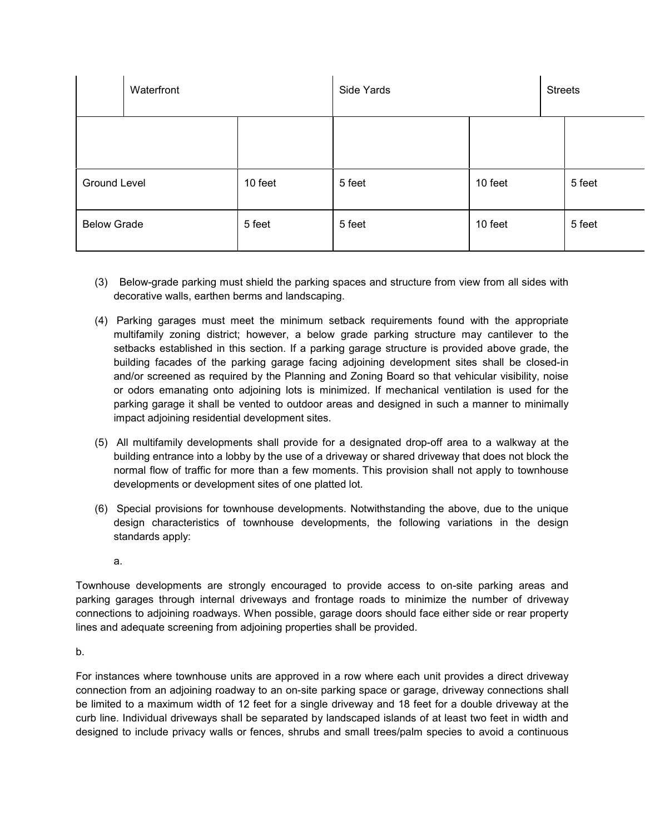|                     | Waterfront |         | Side Yards |         | <b>Streets</b> |        |
|---------------------|------------|---------|------------|---------|----------------|--------|
|                     |            |         |            |         |                |        |
| <b>Ground Level</b> |            | 10 feet | 5 feet     | 10 feet |                | 5 feet |
| <b>Below Grade</b>  |            | 5 feet  | 5 feet     | 10 feet |                | 5 feet |

- (3) Below-grade parking must shield the parking spaces and structure from view from all sides with decorative walls, earthen berms and landscaping.
- (4) Parking garages must meet the minimum setback requirements found with the appropriate multifamily zoning district; however, a below grade parking structure may cantilever to the setbacks established in this section. If a parking garage structure is provided above grade, the building facades of the parking garage facing adjoining development sites shall be closed-in and/or screened as required by the Planning and Zoning Board so that vehicular visibility, noise or odors emanating onto adjoining lots is minimized. If mechanical ventilation is used for the parking garage it shall be vented to outdoor areas and designed in such a manner to minimally impact adjoining residential development sites.
- (5) All multifamily developments shall provide for a designated drop-off area to a walkway at the building entrance into a lobby by the use of a driveway or shared driveway that does not block the normal flow of traffic for more than a few moments. This provision shall not apply to townhouse developments or development sites of one platted lot.
- (6) Special provisions for townhouse developments. Notwithstanding the above, due to the unique design characteristics of townhouse developments, the following variations in the design standards apply:
	- a.

Townhouse developments are strongly encouraged to provide access to on-site parking areas and parking garages through internal driveways and frontage roads to minimize the number of driveway connections to adjoining roadways. When possible, garage doors should face either side or rear property lines and adequate screening from adjoining properties shall be provided.

b.

For instances where townhouse units are approved in a row where each unit provides a direct driveway connection from an adjoining roadway to an on-site parking space or garage, driveway connections shall be limited to a maximum width of 12 feet for a single driveway and 18 feet for a double driveway at the curb line. Individual driveways shall be separated by landscaped islands of at least two feet in width and designed to include privacy walls or fences, shrubs and small trees/palm species to avoid a continuous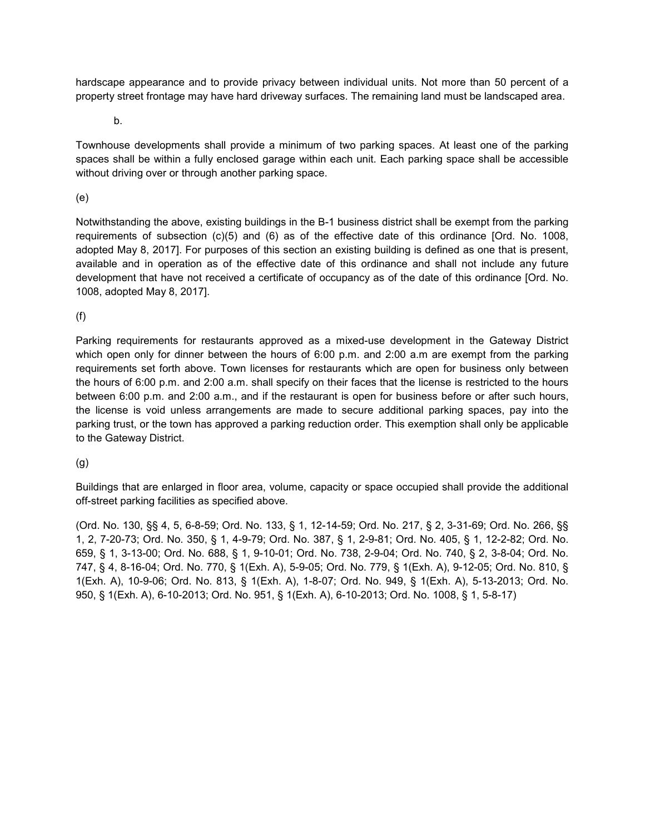hardscape appearance and to provide privacy between individual units. Not more than 50 percent of a property street frontage may have hard driveway surfaces. The remaining land must be landscaped area.

b.

Townhouse developments shall provide a minimum of two parking spaces. At least one of the parking spaces shall be within a fully enclosed garage within each unit. Each parking space shall be accessible without driving over or through another parking space.

#### (e)

Notwithstanding the above, existing buildings in the B-1 business district shall be exempt from the parking requirements of subsection (c)(5) and (6) as of the effective date of this ordinance [Ord. No. 1008, adopted May 8, 2017]. For purposes of this section an existing building is defined as one that is present, available and in operation as of the effective date of this ordinance and shall not include any future development that have not received a certificate of occupancy as of the date of this ordinance [Ord. No. 1008, adopted May 8, 2017].

#### (f)

Parking requirements for restaurants approved as a mixed-use development in the Gateway District which open only for dinner between the hours of 6:00 p.m. and 2:00 a.m are exempt from the parking requirements set forth above. Town licenses for restaurants which are open for business only between the hours of 6:00 p.m. and 2:00 a.m. shall specify on their faces that the license is restricted to the hours between 6:00 p.m. and 2:00 a.m., and if the restaurant is open for business before or after such hours, the license is void unless arrangements are made to secure additional parking spaces, pay into the parking trust, or the town has approved a parking reduction order. This exemption shall only be applicable to the Gateway District.

## (g)

Buildings that are enlarged in floor area, volume, capacity or space occupied shall provide the additional off-street parking facilities as specified above.

(Ord. No. 130, §§ 4, 5, 6-8-59; Ord. No. 133, § 1, 12-14-59; Ord. No. 217, § 2, 3-31-69; Ord. No. 266, §§ 1, 2, 7-20-73; Ord. No. 350, § 1, 4-9-79; Ord. No. 387, § 1, 2-9-81; Ord. No. 405, § 1, 12-2-82; Ord. No. 659, § 1, 3-13-00; Ord. No. 688, § 1, 9-10-01; Ord. No. 738, 2-9-04; Ord. No. 740, § 2, 3-8-04; Ord. No. 747, § 4, 8-16-04; Ord. No. 770, § 1(Exh. A), 5-9-05; Ord. No. 779, § 1(Exh. A), 9-12-05; Ord. No. 810, § 1(Exh. A), 10-9-06; Ord. No. 813, § 1(Exh. A), 1-8-07; Ord. No. 949, § 1(Exh. A), 5-13-2013; Ord. No. 950, § 1(Exh. A), 6-10-2013; Ord. No. 951, § 1(Exh. A), 6-10-2013; Ord. No. 1008, § 1, 5-8-17)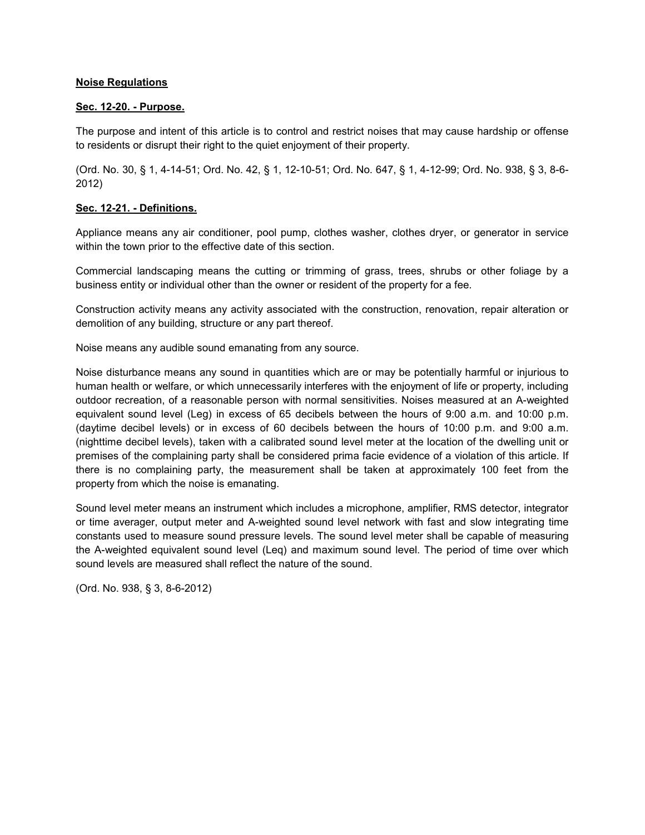#### **Noise Regulations**

#### **Sec. 12-20. - Purpose.**

The purpose and intent of this article is to control and restrict noises that may cause hardship or offense to residents or disrupt their right to the quiet enjoyment of their property.

(Ord. No. 30, § 1, 4-14-51; Ord. No. 42, § 1, 12-10-51; Ord. No. 647, § 1, 4-12-99; Ord. No. 938, § 3, 8-6- 2012)

#### **Sec. 12-21. - Definitions.**

Appliance means any air conditioner, pool pump, clothes washer, clothes dryer, or generator in service within the town prior to the effective date of this section.

Commercial landscaping means the cutting or trimming of grass, trees, shrubs or other foliage by a business entity or individual other than the owner or resident of the property for a fee.

Construction activity means any activity associated with the construction, renovation, repair alteration or demolition of any building, structure or any part thereof.

Noise means any audible sound emanating from any source.

Noise disturbance means any sound in quantities which are or may be potentially harmful or injurious to human health or welfare, or which unnecessarily interferes with the enjoyment of life or property, including outdoor recreation, of a reasonable person with normal sensitivities. Noises measured at an A-weighted equivalent sound level (Leg) in excess of 65 decibels between the hours of 9:00 a.m. and 10:00 p.m. (daytime decibel levels) or in excess of 60 decibels between the hours of 10:00 p.m. and 9:00 a.m. (nighttime decibel levels), taken with a calibrated sound level meter at the location of the dwelling unit or premises of the complaining party shall be considered prima facie evidence of a violation of this article. If there is no complaining party, the measurement shall be taken at approximately 100 feet from the property from which the noise is emanating.

Sound level meter means an instrument which includes a microphone, amplifier, RMS detector, integrator or time averager, output meter and A-weighted sound level network with fast and slow integrating time constants used to measure sound pressure levels. The sound level meter shall be capable of measuring the A-weighted equivalent sound level (Leq) and maximum sound level. The period of time over which sound levels are measured shall reflect the nature of the sound.

(Ord. No. 938, § 3, 8-6-2012)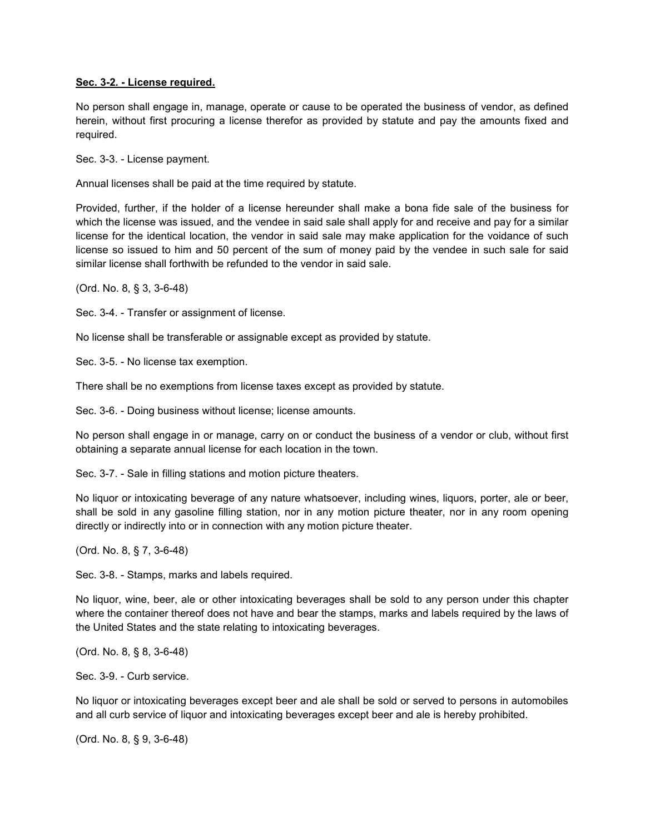#### **Sec. 3-2. - License required.**

No person shall engage in, manage, operate or cause to be operated the business of vendor, as defined herein, without first procuring a license therefor as provided by statute and pay the amounts fixed and required.

Sec. 3-3. - License payment.

Annual licenses shall be paid at the time required by statute.

Provided, further, if the holder of a license hereunder shall make a bona fide sale of the business for which the license was issued, and the vendee in said sale shall apply for and receive and pay for a similar license for the identical location, the vendor in said sale may make application for the voidance of such license so issued to him and 50 percent of the sum of money paid by the vendee in such sale for said similar license shall forthwith be refunded to the vendor in said sale.

(Ord. No. 8, § 3, 3-6-48)

Sec. 3-4. - Transfer or assignment of license.

No license shall be transferable or assignable except as provided by statute.

Sec. 3-5. - No license tax exemption.

There shall be no exemptions from license taxes except as provided by statute.

Sec. 3-6. - Doing business without license; license amounts.

No person shall engage in or manage, carry on or conduct the business of a vendor or club, without first obtaining a separate annual license for each location in the town.

Sec. 3-7. - Sale in filling stations and motion picture theaters.

No liquor or intoxicating beverage of any nature whatsoever, including wines, liquors, porter, ale or beer, shall be sold in any gasoline filling station, nor in any motion picture theater, nor in any room opening directly or indirectly into or in connection with any motion picture theater.

(Ord. No. 8, § 7, 3-6-48)

Sec. 3-8. - Stamps, marks and labels required.

No liquor, wine, beer, ale or other intoxicating beverages shall be sold to any person under this chapter where the container thereof does not have and bear the stamps, marks and labels required by the laws of the United States and the state relating to intoxicating beverages.

(Ord. No. 8, § 8, 3-6-48)

Sec. 3-9. - Curb service.

No liquor or intoxicating beverages except beer and ale shall be sold or served to persons in automobiles and all curb service of liquor and intoxicating beverages except beer and ale is hereby prohibited.

(Ord. No. 8, § 9, 3-6-48)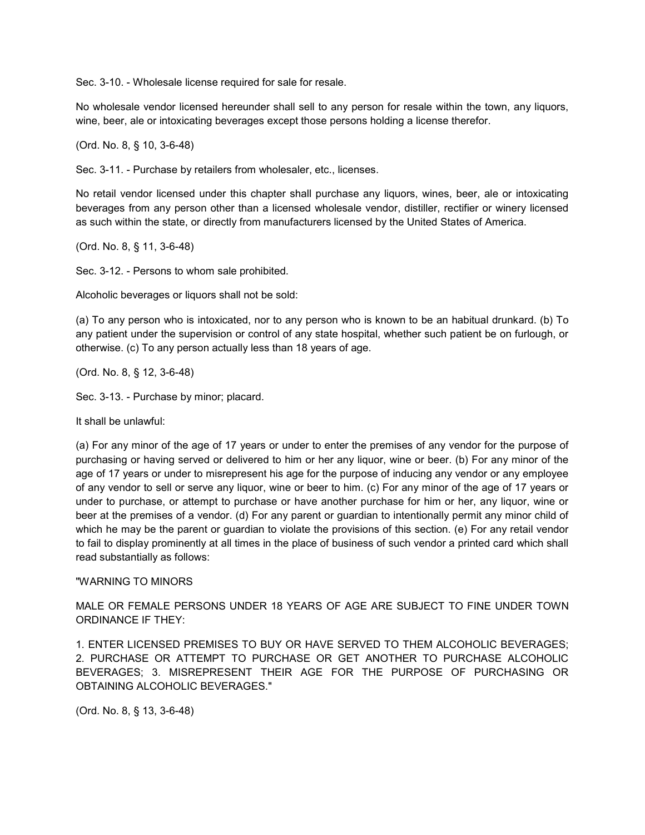Sec. 3-10. - Wholesale license required for sale for resale.

No wholesale vendor licensed hereunder shall sell to any person for resale within the town, any liquors, wine, beer, ale or intoxicating beverages except those persons holding a license therefor.

(Ord. No. 8, § 10, 3-6-48)

Sec. 3-11. - Purchase by retailers from wholesaler, etc., licenses.

No retail vendor licensed under this chapter shall purchase any liquors, wines, beer, ale or intoxicating beverages from any person other than a licensed wholesale vendor, distiller, rectifier or winery licensed as such within the state, or directly from manufacturers licensed by the United States of America.

(Ord. No. 8, § 11, 3-6-48)

Sec. 3-12. - Persons to whom sale prohibited.

Alcoholic beverages or liquors shall not be sold:

(a) To any person who is intoxicated, nor to any person who is known to be an habitual drunkard. (b) To any patient under the supervision or control of any state hospital, whether such patient be on furlough, or otherwise. (c) To any person actually less than 18 years of age.

(Ord. No. 8, § 12, 3-6-48)

Sec. 3-13. - Purchase by minor; placard.

It shall be unlawful:

(a) For any minor of the age of 17 years or under to enter the premises of any vendor for the purpose of purchasing or having served or delivered to him or her any liquor, wine or beer. (b) For any minor of the age of 17 years or under to misrepresent his age for the purpose of inducing any vendor or any employee of any vendor to sell or serve any liquor, wine or beer to him. (c) For any minor of the age of 17 years or under to purchase, or attempt to purchase or have another purchase for him or her, any liquor, wine or beer at the premises of a vendor. (d) For any parent or guardian to intentionally permit any minor child of which he may be the parent or guardian to violate the provisions of this section. (e) For any retail vendor to fail to display prominently at all times in the place of business of such vendor a printed card which shall read substantially as follows:

#### "WARNING TO MINORS

MALE OR FEMALE PERSONS UNDER 18 YEARS OF AGE ARE SUBJECT TO FINE UNDER TOWN ORDINANCE IF THEY:

1. ENTER LICENSED PREMISES TO BUY OR HAVE SERVED TO THEM ALCOHOLIC BEVERAGES; 2. PURCHASE OR ATTEMPT TO PURCHASE OR GET ANOTHER TO PURCHASE ALCOHOLIC BEVERAGES; 3. MISREPRESENT THEIR AGE FOR THE PURPOSE OF PURCHASING OR OBTAINING ALCOHOLIC BEVERAGES."

(Ord. No. 8, § 13, 3-6-48)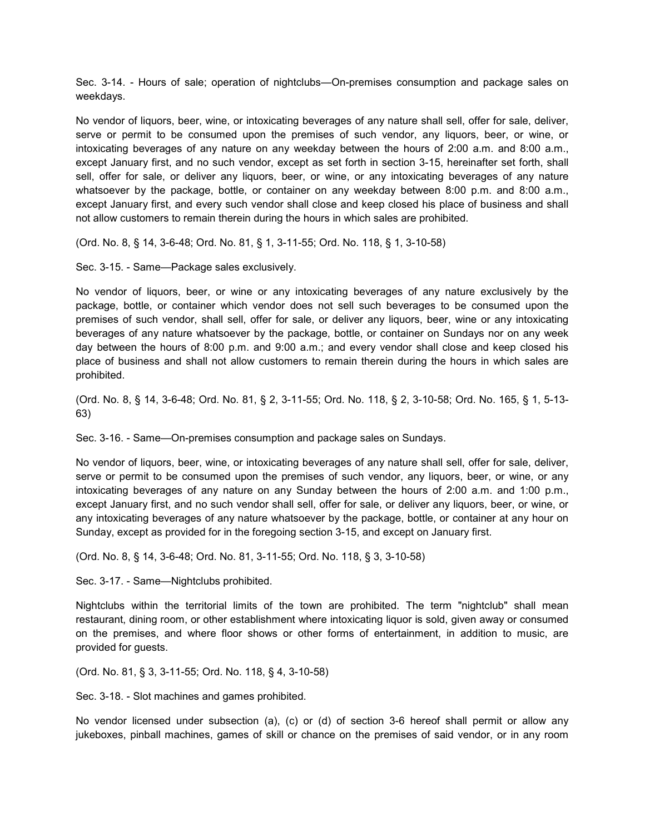Sec. 3-14. - Hours of sale; operation of nightclubs—On-premises consumption and package sales on weekdays.

No vendor of liquors, beer, wine, or intoxicating beverages of any nature shall sell, offer for sale, deliver, serve or permit to be consumed upon the premises of such vendor, any liquors, beer, or wine, or intoxicating beverages of any nature on any weekday between the hours of 2:00 a.m. and 8:00 a.m., except January first, and no such vendor, except as set forth in section 3-15, hereinafter set forth, shall sell, offer for sale, or deliver any liquors, beer, or wine, or any intoxicating beverages of any nature whatsoever by the package, bottle, or container on any weekday between 8:00 p.m. and 8:00 a.m., except January first, and every such vendor shall close and keep closed his place of business and shall not allow customers to remain therein during the hours in which sales are prohibited.

(Ord. No. 8, § 14, 3-6-48; Ord. No. 81, § 1, 3-11-55; Ord. No. 118, § 1, 3-10-58)

Sec. 3-15. - Same—Package sales exclusively.

No vendor of liquors, beer, or wine or any intoxicating beverages of any nature exclusively by the package, bottle, or container which vendor does not sell such beverages to be consumed upon the premises of such vendor, shall sell, offer for sale, or deliver any liquors, beer, wine or any intoxicating beverages of any nature whatsoever by the package, bottle, or container on Sundays nor on any week day between the hours of 8:00 p.m. and 9:00 a.m.; and every vendor shall close and keep closed his place of business and shall not allow customers to remain therein during the hours in which sales are prohibited.

(Ord. No. 8, § 14, 3-6-48; Ord. No. 81, § 2, 3-11-55; Ord. No. 118, § 2, 3-10-58; Ord. No. 165, § 1, 5-13- 63)

Sec. 3-16. - Same—On-premises consumption and package sales on Sundays.

No vendor of liquors, beer, wine, or intoxicating beverages of any nature shall sell, offer for sale, deliver, serve or permit to be consumed upon the premises of such vendor, any liquors, beer, or wine, or any intoxicating beverages of any nature on any Sunday between the hours of 2:00 a.m. and 1:00 p.m., except January first, and no such vendor shall sell, offer for sale, or deliver any liquors, beer, or wine, or any intoxicating beverages of any nature whatsoever by the package, bottle, or container at any hour on Sunday, except as provided for in the foregoing section 3-15, and except on January first.

(Ord. No. 8, § 14, 3-6-48; Ord. No. 81, 3-11-55; Ord. No. 118, § 3, 3-10-58)

Sec. 3-17. - Same—Nightclubs prohibited.

Nightclubs within the territorial limits of the town are prohibited. The term "nightclub" shall mean restaurant, dining room, or other establishment where intoxicating liquor is sold, given away or consumed on the premises, and where floor shows or other forms of entertainment, in addition to music, are provided for guests.

(Ord. No. 81, § 3, 3-11-55; Ord. No. 118, § 4, 3-10-58)

Sec. 3-18. - Slot machines and games prohibited.

No vendor licensed under subsection (a), (c) or (d) of section 3-6 hereof shall permit or allow any jukeboxes, pinball machines, games of skill or chance on the premises of said vendor, or in any room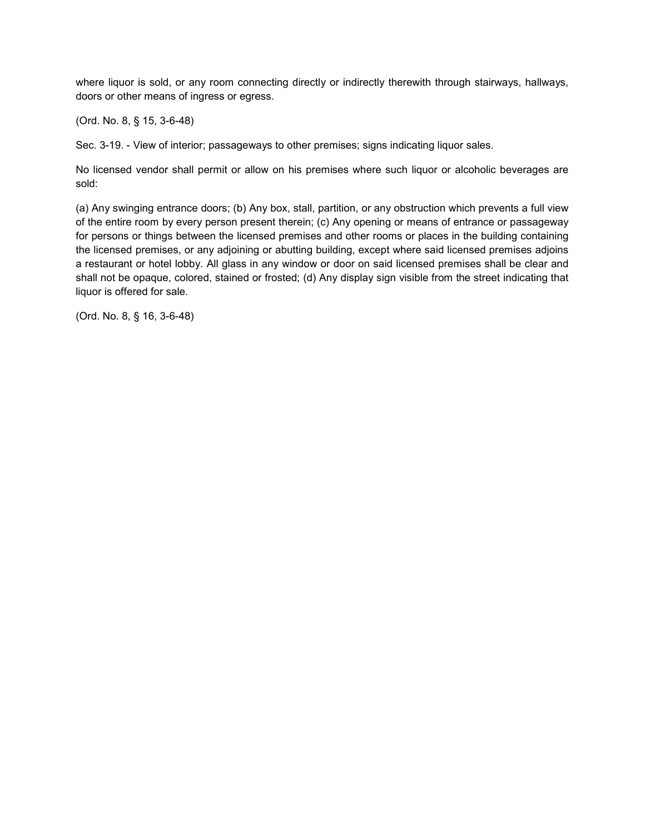where liquor is sold, or any room connecting directly or indirectly therewith through stairways, hallways, doors or other means of ingress or egress.

(Ord. No. 8, § 15, 3-6-48)

Sec. 3-19. - View of interior; passageways to other premises; signs indicating liquor sales.

No licensed vendor shall permit or allow on his premises where such liquor or alcoholic beverages are sold:

(a) Any swinging entrance doors; (b) Any box, stall, partition, or any obstruction which prevents a full view of the entire room by every person present therein; (c) Any opening or means of entrance or passageway for persons or things between the licensed premises and other rooms or places in the building containing the licensed premises, or any adjoining or abutting building, except where said licensed premises adjoins a restaurant or hotel lobby. All glass in any window or door on said licensed premises shall be clear and shall not be opaque, colored, stained or frosted; (d) Any display sign visible from the street indicating that liquor is offered for sale.

(Ord. No. 8, § 16, 3-6-48)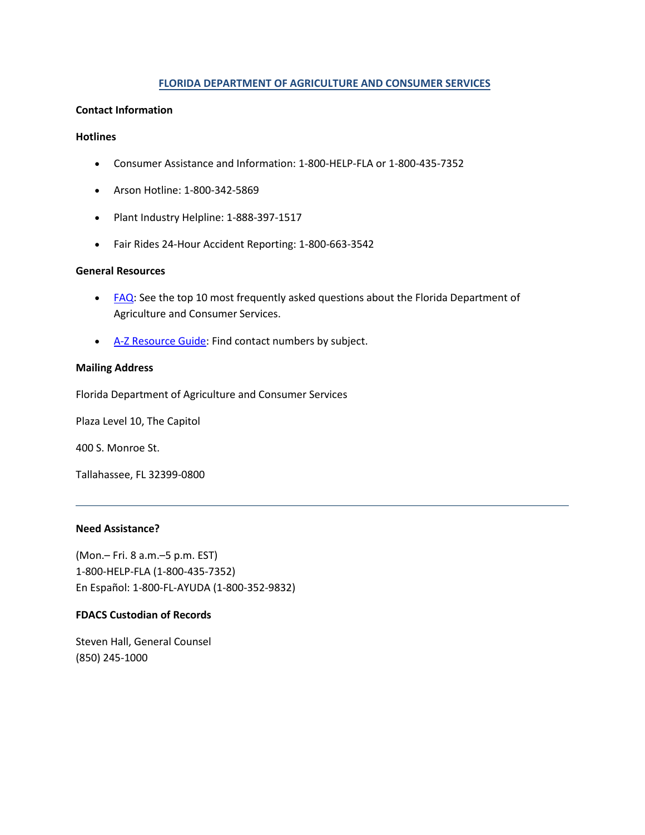#### **FLORIDA DEPARTMENT OF AGRICULTURE AND CONSUMER SERVICES**

#### **Contact Information**

#### **Hotlines**

- Consumer Assistance and Information: 1-800-HELP-FLA or 1-800-435-7352
- Arson Hotline: 1-800-342-5869
- Plant Industry Helpline: 1-888-397-1517
- Fair Rides 24-Hour Accident Reporting: 1-800-663-3542

#### **General Resources**

- [FAQ:](https://www.freshfromflorida.com/FAQ/) See the top 10 most frequently asked questions about the Florida Department of Agriculture and Consumer Services.
- [A-Z Resource Guide:](https://csapp.800helpfla.com/CSPublicApp/AZGuide/AZGuideSearch.aspx) Find contact numbers by subject.

#### **Mailing Address**

Florida Department of Agriculture and Consumer Services

Plaza Level 10, The Capitol

400 S. Monroe St.

Tallahassee, FL 32399-0800

#### **Need Assistance?**

(Mon.– Fri. 8 a.m.–5 p.m. EST) 1-800-HELP-FLA (1-800-435-7352) En Español: 1-800-FL-AYUDA (1-800-352-9832)

#### **FDACS Custodian of Records**

Steven Hall, General Counsel (850) 245-1000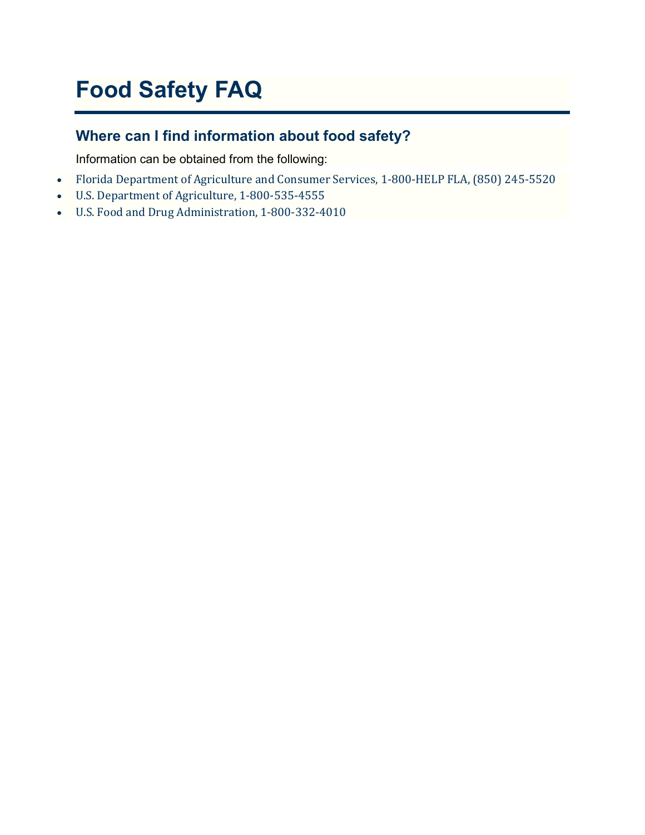# **Food Safety FAQ**

# **Where can I find information about food safety?**

Information can be obtained from the following:

- Florida Department of Agriculture and Consumer Services, 1-800-HELP FLA, (850) 245-5520
- U.S. Department of Agriculture, 1-800-535-4555
- U.S. Food and Drug Administration, 1-800-332-4010